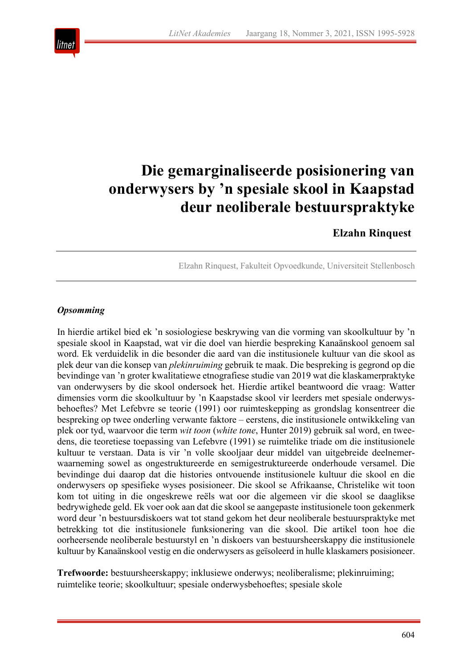

# **Die gemarginaliseerde posisionering van onderwysers by 'n spesiale skool in Kaapstad deur neoliberale bestuurspraktyke**

# **Elzahn Rinquest**

Elzahn Rinquest, Fakulteit Opvoedkunde, Universiteit Stellenbosch

# *Opsomming*

In hierdie artikel bied ek 'n sosiologiese beskrywing van die vorming van skoolkultuur by 'n spesiale skool in Kaapstad, wat vir die doel van hierdie bespreking Kanaänskool genoem sal word. Ek verduidelik in die besonder die aard van die institusionele kultuur van die skool as plek deur van die konsep van *plekinruiming* gebruik te maak. Die bespreking is gegrond op die bevindinge van 'n groter kwalitatiewe etnografiese studie van 2019 wat die klaskamerpraktyke van onderwysers by die skool ondersoek het. Hierdie artikel beantwoord die vraag: Watter dimensies vorm die skoolkultuur by 'n Kaapstadse skool vir leerders met spesiale onderwysbehoeftes? Met Lefebvre se teorie (1991) oor ruimteskepping as grondslag konsentreer die bespreking op twee onderling verwante faktore – eerstens, die institusionele ontwikkeling van plek oor tyd, waarvoor die term *wit toon* (*white tone*, Hunter 2019) gebruik sal word, en tweedens, die teoretiese toepassing van Lefebvre (1991) se ruimtelike triade om die institusionele kultuur te verstaan. Data is vir 'n volle skooljaar deur middel van uitgebreide deelnemerwaarneming sowel as ongestruktureerde en semigestruktureerde onderhoude versamel. Die bevindinge dui daarop dat die histories ontvouende institusionele kultuur die skool en die onderwysers op spesifieke wyses posisioneer. Die skool se Afrikaanse, Christelike wit toon kom tot uiting in die ongeskrewe reëls wat oor die algemeen vir die skool se daaglikse bedrywighede geld. Ek voer ook aan dat die skool se aangepaste institusionele toon gekenmerk word deur 'n bestuursdiskoers wat tot stand gekom het deur neoliberale bestuurspraktyke met betrekking tot die institusionele funksionering van die skool. Die artikel toon hoe die oorheersende neoliberale bestuurstyl en 'n diskoers van bestuursheerskappy die institusionele kultuur by Kanaänskool vestig en die onderwysers as geïsoleerd in hulle klaskamers posisioneer.

**Trefwoorde:** bestuursheerskappy; inklusiewe onderwys; neoliberalisme; plekinruiming; ruimtelike teorie; skoolkultuur; spesiale onderwysbehoeftes; spesiale skole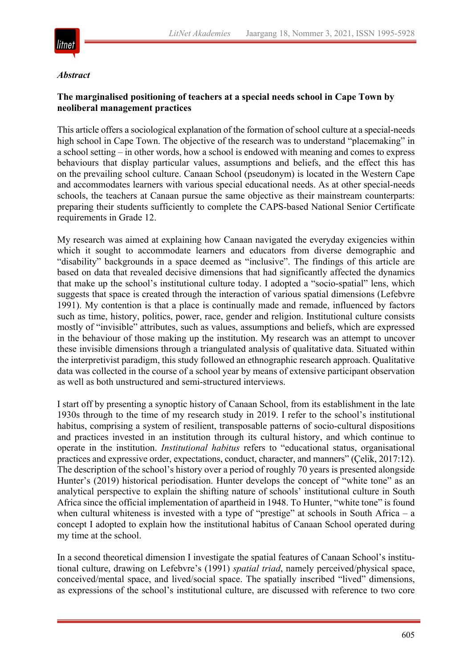

#### *Abstract*

# **The marginalised positioning of teachers at a special needs school in Cape Town by neoliberal management practices**

This article offers a sociological explanation of the formation of school culture at a special-needs high school in Cape Town. The objective of the research was to understand "placemaking" in a school setting – in other words, how a school is endowed with meaning and comes to express behaviours that display particular values, assumptions and beliefs, and the effect this has on the prevailing school culture. Canaan School (pseudonym) is located in the Western Cape and accommodates learners with various special educational needs. As at other special-needs schools, the teachers at Canaan pursue the same objective as their mainstream counterparts: preparing their students sufficiently to complete the CAPS-based National Senior Certificate requirements in Grade 12.

My research was aimed at explaining how Canaan navigated the everyday exigencies within which it sought to accommodate learners and educators from diverse demographic and "disability" backgrounds in a space deemed as "inclusive". The findings of this article are based on data that revealed decisive dimensions that had significantly affected the dynamics that make up the school's institutional culture today. I adopted a "socio-spatial" lens, which suggests that space is created through the interaction of various spatial dimensions (Lefebvre 1991). My contention is that a place is continually made and remade, influenced by factors such as time, history, politics, power, race, gender and religion. Institutional culture consists mostly of "invisible" attributes, such as values, assumptions and beliefs, which are expressed in the behaviour of those making up the institution. My research was an attempt to uncover these invisible dimensions through a triangulated analysis of qualitative data. Situated within the interpretivist paradigm, this study followed an ethnographic research approach. Qualitative data was collected in the course of a school year by means of extensive participant observation as well as both unstructured and semi-structured interviews.

I start off by presenting a synoptic history of Canaan School, from its establishment in the late 1930s through to the time of my research study in 2019. I refer to the school's institutional habitus, comprising a system of resilient, transposable patterns of socio-cultural dispositions and practices invested in an institution through its cultural history, and which continue to operate in the institution. *Institutional habitus* refers to "educational status, organisational practices and expressive order, expectations, conduct, character, and manners" (Çelik, 2017:12). The description of the school's history over a period of roughly 70 years is presented alongside Hunter's (2019) historical periodisation. Hunter develops the concept of "white tone" as an analytical perspective to explain the shifting nature of schools' institutional culture in South Africa since the official implementation of apartheid in 1948. To Hunter, "white tone" is found when cultural whiteness is invested with a type of "prestige" at schools in South Africa – a concept I adopted to explain how the institutional habitus of Canaan School operated during my time at the school.

In a second theoretical dimension I investigate the spatial features of Canaan School's institutional culture, drawing on Lefebvre's (1991) *spatial triad*, namely perceived/physical space, conceived/mental space, and lived/social space. The spatially inscribed "lived" dimensions, as expressions of the school's institutional culture, are discussed with reference to two core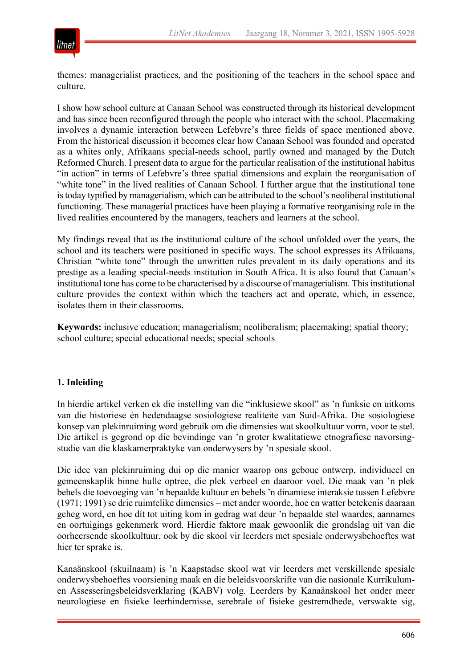

themes: managerialist practices, and the positioning of the teachers in the school space and culture.

I show how school culture at Canaan School was constructed through its historical development and has since been reconfigured through the people who interact with the school. Placemaking involves a dynamic interaction between Lefebvre's three fields of space mentioned above. From the historical discussion it becomes clear how Canaan School was founded and operated as a whites only, Afrikaans special-needs school, partly owned and managed by the Dutch Reformed Church. I present data to argue for the particular realisation of the institutional habitus "in action" in terms of Lefebvre's three spatial dimensions and explain the reorganisation of "white tone" in the lived realities of Canaan School. I further argue that the institutional tone is today typified by managerialism, which can be attributed to the school's neoliberal institutional functioning. These managerial practices have been playing a formative reorganising role in the lived realities encountered by the managers, teachers and learners at the school.

My findings reveal that as the institutional culture of the school unfolded over the years, the school and its teachers were positioned in specific ways. The school expresses its Afrikaans, Christian "white tone" through the unwritten rules prevalent in its daily operations and its prestige as a leading special-needs institution in South Africa. It is also found that Canaan's institutional tone has come to be characterised by a discourse of managerialism. This institutional culture provides the context within which the teachers act and operate, which, in essence, isolates them in their classrooms.

**Keywords:** inclusive education; managerialism; neoliberalism; placemaking; spatial theory; school culture; special educational needs; special schools

#### **1. Inleiding**

In hierdie artikel verken ek die instelling van die "inklusiewe skool" as 'n funksie en uitkoms van die historiese én hedendaagse sosiologiese realiteite van Suid-Afrika. Die sosiologiese konsep van plekinruiming word gebruik om die dimensies wat skoolkultuur vorm, voor te stel. Die artikel is gegrond op die bevindinge van 'n groter kwalitatiewe etnografiese navorsingstudie van die klaskamerpraktyke van onderwysers by 'n spesiale skool.

Die idee van plekinruiming dui op die manier waarop ons geboue ontwerp, individueel en gemeenskaplik binne hulle optree, die plek verbeel en daaroor voel. Die maak van 'n plek behels die toevoeging van 'n bepaalde kultuur en behels 'n dinamiese interaksie tussen Lefebvre (1971; 1991) se drie ruimtelike dimensies – met ander woorde, hoe en watter betekenis daaraan geheg word, en hoe dít tot uiting kom in gedrag wat deur 'n bepaalde stel waardes, aannames en oortuigings gekenmerk word. Hierdie faktore maak gewoonlik die grondslag uit van die oorheersende skoolkultuur, ook by die skool vir leerders met spesiale onderwysbehoeftes wat hier ter sprake is.

Kanaänskool (skuilnaam) is 'n Kaapstadse skool wat vir leerders met verskillende spesiale onderwysbehoeftes voorsiening maak en die beleidsvoorskrifte van die nasionale Kurrikulumen Assesseringsbeleidsverklaring (KABV) volg. Leerders by Kanaänskool het onder meer neurologiese en fisieke leerhindernisse, serebrale of fisieke gestremdhede, verswakte sig,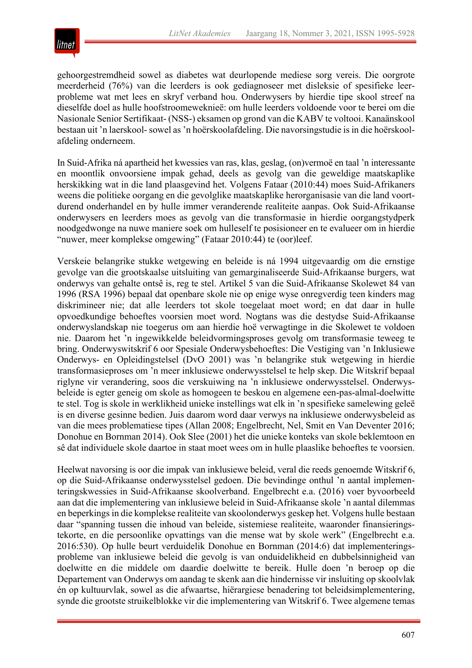

gehoorgestremdheid sowel as diabetes wat deurlopende mediese sorg vereis. Die oorgrote meerderheid (76%) van die leerders is ook gediagnoseer met disleksie of spesifieke leerprobleme wat met lees en skryf verband hou. Onderwysers by hierdie tipe skool streef na dieselfde doel as hulle hoofstroomeweknieë: om hulle leerders voldoende voor te berei om die Nasionale Senior Sertifikaat- (NSS-) eksamen op grond van die KABV te voltooi. Kanaänskool bestaan uit 'n laerskool-sowel as 'n hoërskoolafdeling. Die navorsingstudie is in die hoërskoolafdeling onderneem.

In Suid-Afrika ná apartheid het kwessies van ras, klas, geslag, (on)vermoë en taal 'n interessante en moontlik onvoorsiene impak gehad, deels as gevolg van die geweldige maatskaplike herskikking wat in die land plaasgevind het. Volgens Fataar (2010:44) moes Suid-Afrikaners weens die politieke oorgang en die gevolglike maatskaplike herorganisasie van die land voortdurend onderhandel en by hulle immer veranderende realiteite aanpas. Ook Suid-Afrikaanse onderwysers en leerders moes as gevolg van die transformasie in hierdie oorgangstydperk noodgedwonge na nuwe maniere soek om hulleself te posisioneer en te evalueer om in hierdie "nuwer, meer komplekse omgewing" (Fataar 2010:44) te (oor)leef.

Verskeie belangrike stukke wetgewing en beleide is ná 1994 uitgevaardig om die ernstige gevolge van die grootskaalse uitsluiting van gemarginaliseerde Suid-Afrikaanse burgers, wat onderwys van gehalte ontsê is, reg te stel. Artikel 5 van die Suid-Afrikaanse Skolewet 84 van 1996 (RSA 1996) bepaal dat openbare skole nie op enige wyse onregverdig teen kinders mag diskrimineer nie; dat alle leerders tot skole toegelaat moet word; en dat daar in hulle opvoedkundige behoeftes voorsien moet word. Nogtans was die destydse Suid-Afrikaanse onderwyslandskap nie toegerus om aan hierdie hoë verwagtinge in die Skolewet te voldoen nie. Daarom het 'n ingewikkelde beleidvormingsproses gevolg om transformasie teweeg te bring. Onderwyswitskrif 6 oor Spesiale Onderwysbehoeftes: Die Vestiging van 'n Inklusiewe Onderwys- en Opleidingstelsel (DvO 2001) was 'n belangrike stuk wetgewing in hierdie transformasieproses om 'n meer inklusiewe onderwysstelsel te help skep. Die Witskrif bepaal riglyne vir verandering, soos die verskuiwing na 'n inklusiewe onderwysstelsel. Onderwysbeleide is egter geneig om skole as homogeen te beskou en algemene een-pas-almal-doelwitte te stel. Tog is skole in werklikheid unieke instellings wat elk in 'n spesifieke samelewing geleë is en diverse gesinne bedien. Juis daarom word daar verwys na inklusiewe onderwysbeleid as van die mees problematiese tipes (Allan 2008; Engelbrecht, Nel, Smit en Van Deventer 2016; Donohue en Bornman 2014). Ook Slee (2001) het die unieke konteks van skole beklemtoon en sê dat individuele skole daartoe in staat moet wees om in hulle plaaslike behoeftes te voorsien.

Heelwat navorsing is oor die impak van inklusiewe beleid, veral die reeds genoemde Witskrif 6, op die Suid-Afrikaanse onderwysstelsel gedoen. Die bevindinge onthul 'n aantal implementeringskwessies in Suid-Afrikaanse skoolverband. Engelbrecht e.a. (2016) voer byvoorbeeld aan dat die implementering van inklusiewe beleid in Suid-Afrikaanse skole 'n aantal dilemmas en beperkings in die komplekse realiteite van skoolonderwys geskep het. Volgens hulle bestaan daar "spanning tussen die inhoud van beleide, sistemiese realiteite, waaronder finansieringstekorte, en die persoonlike opvattings van die mense wat by skole werk" (Engelbrecht e.a. 2016:530). Op hulle beurt verduidelik Donohue en Bornman (2014:6) dat implementeringsprobleme van inklusiewe beleid die gevolg is van onduidelikheid en dubbelsinnigheid van doelwitte en die middele om daardie doelwitte te bereik. Hulle doen 'n beroep op die Departement van Onderwys om aandag te skenk aan die hindernisse vir insluiting op skoolvlak én op kultuurvlak, sowel as die afwaartse, hiërargiese benadering tot beleidsimplementering, synde die grootste struikelblokke vir die implementering van Witskrif 6. Twee algemene temas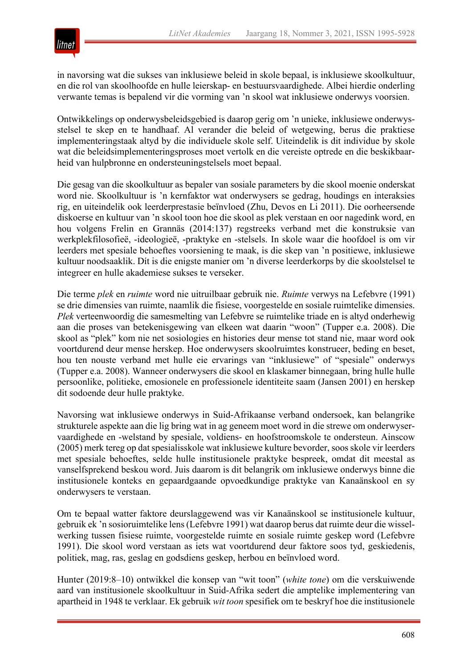

in navorsing wat die sukses van inklusiewe beleid in skole bepaal, is inklusiewe skoolkultuur, en die rol van skoolhoofde en hulle leierskap- en bestuursvaardighede. Albei hierdie onderling verwante temas is bepalend vir die vorming van 'n skool wat inklusiewe onderwys voorsien.

Ontwikkelings op onderwysbeleidsgebied is daarop gerig om 'n unieke, inklusiewe onderwysstelsel te skep en te handhaaf. Al verander die beleid of wetgewing, berus die praktiese implementeringstaak altyd by die individuele skole self. Uiteindelik is dit individue by skole wat die beleidsimplementeringsproses moet vertolk en die vereiste optrede en die beskikbaarheid van hulpbronne en ondersteuningstelsels moet bepaal.

Die gesag van die skoolkultuur as bepaler van sosiale parameters by die skool moenie onderskat word nie. Skoolkultuur is 'n kernfaktor wat onderwysers se gedrag, houdings en interaksies rig, en uiteindelik ook leerderprestasie beïnvloed (Zhu, Devos en Li 2011). Die oorheersende diskoerse en kultuur van 'n skool toon hoe die skool as plek verstaan en oor nagedink word, en hou volgens Frelin en Grannäs (2014:137) regstreeks verband met die konstruksie van werkplekfilosofieë, -ideologieë, -praktyke en -stelsels. In skole waar die hoofdoel is om vir leerders met spesiale behoeftes voorsiening te maak, is die skep van 'n positiewe, inklusiewe kultuur noodsaaklik. Dít is die enigste manier om 'n diverse leerderkorps by die skoolstelsel te integreer en hulle akademiese sukses te verseker.

Die terme *plek* en *ruimte* word nie uitruilbaar gebruik nie. *Ruimte* verwys na Lefebvre (1991) se drie dimensies van ruimte, naamlik die fisiese, voorgestelde en sosiale ruimtelike dimensies. *Plek* verteenwoordig die samesmelting van Lefebvre se ruimtelike triade en is altyd onderhewig aan die proses van betekenisgewing van elkeen wat daarin "woon" (Tupper e.a. 2008). Die skool as "plek" kom nie net sosiologies en histories deur mense tot stand nie, maar word ook voortdurend deur mense herskep. Hoe onderwysers skoolruimtes konstrueer, beding en beset, hou ten nouste verband met hulle eie ervarings van "inklusiewe" of "spesiale" onderwys (Tupper e.a. 2008). Wanneer onderwysers die skool en klaskamer binnegaan, bring hulle hulle persoonlike, politieke, emosionele en professionele identiteite saam (Jansen 2001) en herskep dit sodoende deur hulle praktyke.

Navorsing wat inklusiewe onderwys in Suid-Afrikaanse verband ondersoek, kan belangrike strukturele aspekte aan die lig bring wat in ag geneem moet word in die strewe om onderwyservaardighede en -welstand by spesiale, voldiens- en hoofstroomskole te ondersteun. Ainscow (2005) merk tereg op dat spesialisskole wat inklusiewe kulture bevorder, soos skole vir leerders met spesiale behoeftes, selde hulle institusionele praktyke bespreek, omdat dit meestal as vanselfsprekend beskou word. Juis daarom is dit belangrik om inklusiewe onderwys binne die institusionele konteks en gepaardgaande opvoedkundige praktyke van Kanaänskool en sy onderwysers te verstaan.

Om te bepaal watter faktore deurslaggewend was vir Kanaänskool se institusionele kultuur, gebruik ek 'n sosioruimtelike lens (Lefebvre 1991) wat daarop berus dat ruimte deur die wisselwerking tussen fisiese ruimte, voorgestelde ruimte en sosiale ruimte geskep word (Lefebvre 1991). Die skool word verstaan as iets wat voortdurend deur faktore soos tyd, geskiedenis, politiek, mag, ras, geslag en godsdiens geskep, herbou en beïnvloed word.

Hunter (2019:8–10) ontwikkel die konsep van "wit toon" (*white tone*) om die verskuiwende aard van institusionele skoolkultuur in Suid-Afrika sedert die amptelike implementering van apartheid in 1948 te verklaar. Ek gebruik *wit toon* spesifiek om te beskryf hoe die institusionele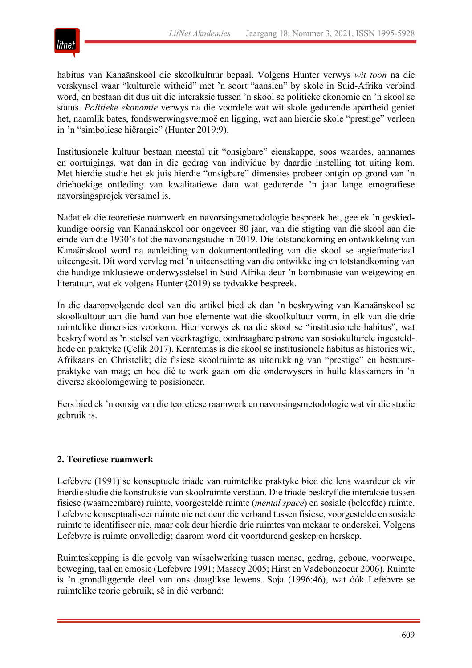

habitus van Kanaänskool die skoolkultuur bepaal. Volgens Hunter verwys *wit toon* na die verskynsel waar "kulturele witheid" met 'n soort "aansien" by skole in Suid-Afrika verbind word, en bestaan dit dus uit die interaksie tussen 'n skool se politieke ekonomie en 'n skool se status. *Politieke ekonomie* verwys na die voordele wat wit skole gedurende apartheid geniet het, naamlik bates, fondswerwingsvermoë en ligging, wat aan hierdie skole "prestige" verleen in 'n "simboliese hiërargie" (Hunter 2019:9).

Institusionele kultuur bestaan meestal uit "onsigbare" eienskappe, soos waardes, aannames en oortuigings, wat dan in die gedrag van individue by daardie instelling tot uiting kom. Met hierdie studie het ek juis hierdie "onsigbare" dimensies probeer ontgin op grond van 'n driehoekige ontleding van kwalitatiewe data wat gedurende 'n jaar lange etnografiese navorsingsprojek versamel is.

Nadat ek die teoretiese raamwerk en navorsingsmetodologie bespreek het, gee ek 'n geskiedkundige oorsig van Kanaänskool oor ongeveer 80 jaar, van die stigting van die skool aan die einde van die 1930's tot die navorsingstudie in 2019. Die totstandkoming en ontwikkeling van Kanaänskool word na aanleiding van dokumentontleding van die skool se argiefmateriaal uiteengesit. Dít word vervleg met 'n uiteensetting van die ontwikkeling en totstandkoming van die huidige inklusiewe onderwysstelsel in Suid-Afrika deur 'n kombinasie van wetgewing en literatuur, wat ek volgens Hunter (2019) se tydvakke bespreek.

In die daaropvolgende deel van die artikel bied ek dan 'n beskrywing van Kanaänskool se skoolkultuur aan die hand van hoe elemente wat die skoolkultuur vorm, in elk van die drie ruimtelike dimensies voorkom. Hier verwys ek na die skool se "institusionele habitus", wat beskryf word as 'n stelsel van veerkragtige, oordraagbare patrone van sosiokulturele ingesteldhede en praktyke (Çelik 2017). Kerntemas is die skool se institusionele habitus as histories wit, Afrikaans en Christelik; die fisiese skoolruimte as uitdrukking van "prestige" en bestuurspraktyke van mag; en hoe dié te werk gaan om die onderwysers in hulle klaskamers in 'n diverse skoolomgewing te posisioneer.

Eers bied ek 'n oorsig van die teoretiese raamwerk en navorsingsmetodologie wat vir die studie gebruik is.

#### **2. Teoretiese raamwerk**

Lefebvre (1991) se konseptuele triade van ruimtelike praktyke bied die lens waardeur ek vir hierdie studie die konstruksie van skoolruimte verstaan. Die triade beskryf die interaksie tussen fisiese (waarneembare) ruimte, voorgestelde ruimte (*mental space*) en sosiale (beleefde) ruimte. Lefebvre konseptualiseer ruimte nie net deur die verband tussen fisiese, voorgestelde en sosiale ruimte te identifiseer nie, maar ook deur hierdie drie ruimtes van mekaar te onderskei. Volgens Lefebvre is ruimte onvolledig; daarom word dit voortdurend geskep en herskep.

Ruimteskepping is die gevolg van wisselwerking tussen mense, gedrag, geboue, voorwerpe, beweging, taal en emosie (Lefebvre 1991; Massey 2005; Hirst en Vadeboncoeur 2006). Ruimte is 'n grondliggende deel van ons daaglikse lewens. Soja (1996:46), wat óók Lefebvre se ruimtelike teorie gebruik, sê in dié verband: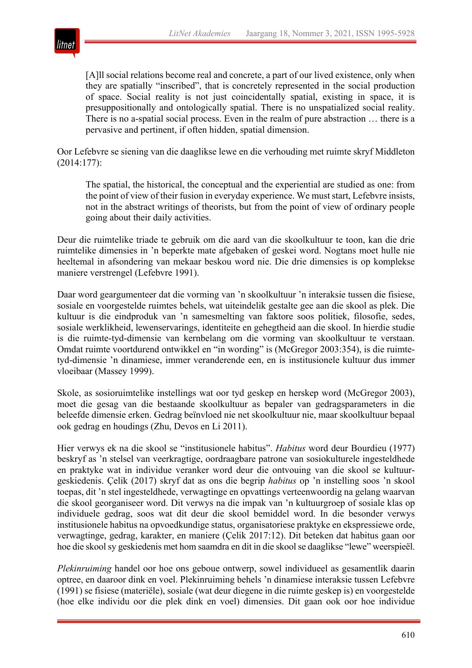

[A]ll social relations become real and concrete, a part of our lived existence, only when they are spatially "inscribed", that is concretely represented in the social production of space. Social reality is not just coincidentally spatial, existing in space, it is presuppositionally and ontologically spatial. There is no unspatialized social reality. There is no a-spatial social process. Even in the realm of pure abstraction … there is a pervasive and pertinent, if often hidden, spatial dimension.

Oor Lefebvre se siening van die daaglikse lewe en die verhouding met ruimte skryf Middleton (2014:177):

The spatial, the historical, the conceptual and the experiential are studied as one: from the point of view of their fusion in everyday experience. We must start, Lefebvre insists, not in the abstract writings of theorists, but from the point of view of ordinary people going about their daily activities.

Deur die ruimtelike triade te gebruik om die aard van die skoolkultuur te toon, kan die drie ruimtelike dimensies in 'n beperkte mate afgebaken of geskei word. Nogtans moet hulle nie heeltemal in afsondering van mekaar beskou word nie. Die drie dimensies is op komplekse maniere verstrengel (Lefebvre 1991).

Daar word geargumenteer dat die vorming van 'n skoolkultuur 'n interaksie tussen die fisiese, sosiale en voorgestelde ruimtes behels, wat uiteindelik gestalte gee aan die skool as plek. Die kultuur is die eindproduk van 'n samesmelting van faktore soos politiek, filosofie, sedes, sosiale werklikheid, lewenservarings, identiteite en gehegtheid aan die skool. In hierdie studie is die ruimte-tyd-dimensie van kernbelang om die vorming van skoolkultuur te verstaan. Omdat ruimte voortdurend ontwikkel en "in wording" is (McGregor 2003:354), is die ruimtetyd-dimensie 'n dinamiese, immer veranderende een, en is institusionele kultuur dus immer vloeibaar (Massey 1999).

Skole, as sosioruimtelike instellings wat oor tyd geskep en herskep word (McGregor 2003), moet die gesag van die bestaande skoolkultuur as bepaler van gedragsparameters in die beleefde dimensie erken. Gedrag beïnvloed nie net skoolkultuur nie, maar skoolkultuur bepaal ook gedrag en houdings (Zhu, Devos en Li 2011).

Hier verwys ek na die skool se "institusionele habitus". *Habitus* word deur Bourdieu (1977) beskryf as 'n stelsel van veerkragtige, oordraagbare patrone van sosiokulturele ingesteldhede en praktyke wat in individue veranker word deur die ontvouing van die skool se kultuurgeskiedenis. Çelik (2017) skryf dat as ons die begrip *habitus* op 'n instelling soos 'n skool toepas, dit 'n stel ingesteldhede, verwagtinge en opvattings verteenwoordig na gelang waarvan die skool georganiseer word. Dit verwys na die impak van 'n kultuurgroep of sosiale klas op individuele gedrag, soos wat dit deur die skool bemiddel word. In die besonder verwys institusionele habitus na opvoedkundige status, organisatoriese praktyke en ekspressiewe orde, verwagtinge, gedrag, karakter, en maniere (Çelik 2017:12). Dit beteken dat habitus gaan oor hoe die skool sy geskiedenis met hom saamdra en dit in die skool se daaglikse "lewe" weerspieël.

*Plekinruiming* handel oor hoe ons geboue ontwerp, sowel individueel as gesamentlik daarin optree, en daaroor dink en voel. Plekinruiming behels 'n dinamiese interaksie tussen Lefebvre (1991) se fisiese (materiële), sosiale (wat deur diegene in die ruimte geskep is) en voorgestelde (hoe elke individu oor die plek dink en voel) dimensies. Dit gaan ook oor hoe individue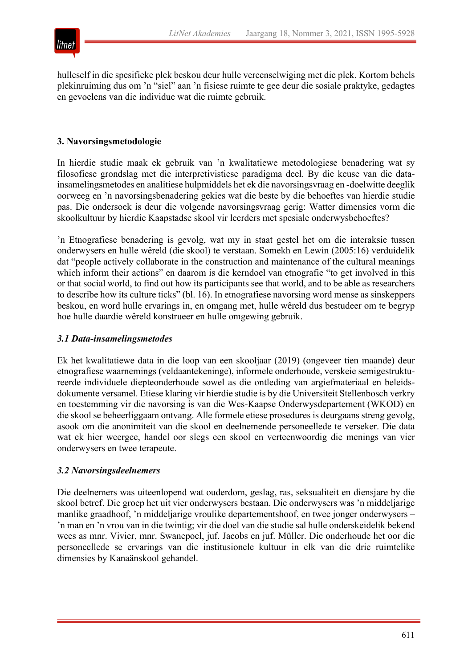

hulleself in die spesifieke plek beskou deur hulle vereenselwiging met die plek. Kortom behels plekinruiming dus om 'n "siel" aan 'n fisiese ruimte te gee deur die sosiale praktyke, gedagtes en gevoelens van die individue wat die ruimte gebruik.

#### **3. Navorsingsmetodologie**

In hierdie studie maak ek gebruik van 'n kwalitatiewe metodologiese benadering wat sy filosofiese grondslag met die interpretivistiese paradigma deel. By die keuse van die datainsamelingsmetodes en analitiese hulpmiddels het ek die navorsingsvraag en -doelwitte deeglik oorweeg en 'n navorsingsbenadering gekies wat die beste by die behoeftes van hierdie studie pas. Die ondersoek is deur die volgende navorsingsvraag gerig: Watter dimensies vorm die skoolkultuur by hierdie Kaapstadse skool vir leerders met spesiale onderwysbehoeftes?

'n Etnografiese benadering is gevolg, wat my in staat gestel het om die interaksie tussen onderwysers en hulle wêreld (die skool) te verstaan. Somekh en Lewin (2005:16) verduidelik dat "people actively collaborate in the construction and maintenance of the cultural meanings which inform their actions" en daarom is die kerndoel van etnografie "to get involved in this or that social world, to find out how its participants see that world, and to be able as researchers to describe how its culture ticks" (bl. 16). In etnografiese navorsing word mense as sinskeppers beskou, en word hulle ervarings in, en omgang met, hulle wêreld dus bestudeer om te begryp hoe hulle daardie wêreld konstrueer en hulle omgewing gebruik.

#### *3.1 Data-insamelingsmetodes*

Ek het kwalitatiewe data in die loop van een skooljaar (2019) (ongeveer tien maande) deur etnografiese waarnemings (veldaantekeninge), informele onderhoude, verskeie semigestruktureerde individuele diepteonderhoude sowel as die ontleding van argiefmateriaal en beleidsdokumente versamel. Etiese klaring vir hierdie studie is by die Universiteit Stellenbosch verkry en toestemming vir die navorsing is van die Wes-Kaapse Onderwysdepartement (WKOD) en die skool se beheerliggaam ontvang. Alle formele etiese prosedures is deurgaans streng gevolg, asook om die anonimiteit van die skool en deelnemende personeellede te verseker. Die data wat ek hier weergee, handel oor slegs een skool en verteenwoordig die menings van vier onderwysers en twee terapeute.

#### *3.2 Navorsingsdeelnemers*

Die deelnemers was uiteenlopend wat ouderdom, geslag, ras, seksualiteit en diensjare by die skool betref. Die groep het uit vier onderwysers bestaan. Die onderwysers was 'n middeljarige manlike graadhoof, 'n middeljarige vroulike departementshoof, en twee jonger onderwysers – 'n man en 'n vrou van in die twintig; vir die doel van die studie sal hulle onderskeidelik bekend wees as mnr. Vivier, mnr. Swanepoel, juf. Jacobs en juf. Müller. Die onderhoude het oor die personeellede se ervarings van die institusionele kultuur in elk van die drie ruimtelike dimensies by Kanaänskool gehandel.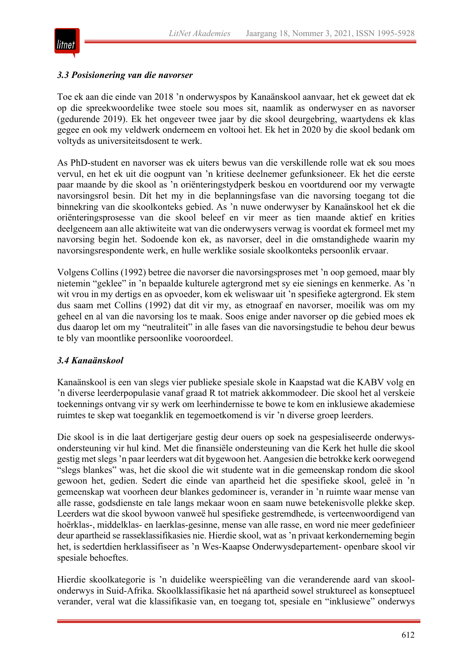

#### *3.3 Posisionering van die navorser*

Toe ek aan die einde van 2018 'n onderwyspos by Kanaänskool aanvaar, het ek geweet dat ek op die spreekwoordelike twee stoele sou moes sit, naamlik as onderwyser en as navorser (gedurende 2019). Ek het ongeveer twee jaar by die skool deurgebring, waartydens ek klas gegee en ook my veldwerk onderneem en voltooi het. Ek het in 2020 by die skool bedank om voltyds as universiteitsdosent te werk.

As PhD-student en navorser was ek uiters bewus van die verskillende rolle wat ek sou moes vervul, en het ek uit die oogpunt van 'n kritiese deelnemer gefunksioneer. Ek het die eerste paar maande by die skool as 'n oriënteringstydperk beskou en voortdurend oor my verwagte navorsingsrol besin. Dít het my in die beplanningsfase van die navorsing toegang tot die binnekring van die skoolkonteks gebied. As 'n nuwe onderwyser by Kanaänskool het ek die oriënteringsprosesse van die skool beleef en vir meer as tien maande aktief en krities deelgeneem aan alle aktiwiteite wat van die onderwysers verwag is voordat ek formeel met my navorsing begin het. Sodoende kon ek, as navorser, deel in die omstandighede waarin my navorsingsrespondente werk, en hulle werklike sosiale skoolkonteks persoonlik ervaar.

Volgens Collins (1992) betree die navorser die navorsingsproses met 'n oop gemoed, maar bly nietemin "geklee" in 'n bepaalde kulturele agtergrond met sy eie sienings en kenmerke. As 'n wit vrou in my dertigs en as opvoeder, kom ek weliswaar uit 'n spesifieke agtergrond. Ek stem dus saam met Collins (1992) dat dit vir my, as etnograaf en navorser, moeilik was om my geheel en al van die navorsing los te maak. Soos enige ander navorser op die gebied moes ek dus daarop let om my "neutraliteit" in alle fases van die navorsingstudie te behou deur bewus te bly van moontlike persoonlike vooroordeel.

#### *3.4 Kanaänskool*

Kanaänskool is een van slegs vier publieke spesiale skole in Kaapstad wat die KABV volg en 'n diverse leerderpopulasie vanaf graad R tot matriek akkommodeer. Die skool het al verskeie toekennings ontvang vir sy werk om leerhindernisse te bowe te kom en inklusiewe akademiese ruimtes te skep wat toeganklik en tegemoetkomend is vir 'n diverse groep leerders.

Die skool is in die laat dertigerjare gestig deur ouers op soek na gespesialiseerde onderwysondersteuning vir hul kind. Met die finansiële ondersteuning van die Kerk het hulle die skool gestig met slegs 'n paar leerders wat dit bygewoon het. Aangesien die betrokke kerk oorwegend "slegs blankes" was, het die skool die wit studente wat in die gemeenskap rondom die skool gewoon het, gedien. Sedert die einde van apartheid het die spesifieke skool, geleë in 'n gemeenskap wat voorheen deur blankes gedomineer is, verander in 'n ruimte waar mense van alle rasse, godsdienste en tale langs mekaar woon en saam nuwe betekenisvolle plekke skep. Leerders wat die skool bywoon vanweë hul spesifieke gestremdhede, is verteenwoordigend van hoërklas-, middelklas- en laerklas-gesinne, mense van alle rasse, en word nie meer gedefinieer deur apartheid se rasseklassifikasies nie. Hierdie skool, wat as 'n privaat kerkonderneming begin het, is sedertdien herklassifiseer as 'n Wes-Kaapse Onderwysdepartement- openbare skool vir spesiale behoeftes.

Hierdie skoolkategorie is 'n duidelike weerspieëling van die veranderende aard van skoolonderwys in Suid-Afrika. Skoolklassifikasie het ná apartheid sowel struktureel as konseptueel verander, veral wat die klassifikasie van, en toegang tot, spesiale en "inklusiewe" onderwys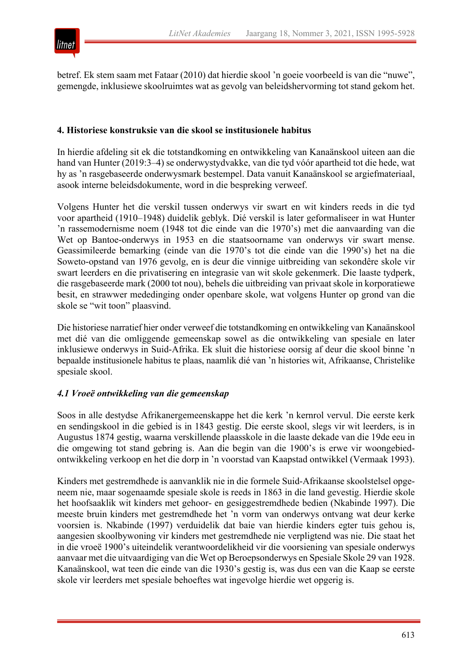

betref. Ek stem saam met Fataar (2010) dat hierdie skool 'n goeie voorbeeld is van die "nuwe", gemengde, inklusiewe skoolruimtes wat as gevolg van beleidshervorming tot stand gekom het.

#### **4. Historiese konstruksie van die skool se institusionele habitus**

In hierdie afdeling sit ek die totstandkoming en ontwikkeling van Kanaänskool uiteen aan die hand van Hunter (2019:3–4) se onderwystydvakke, van die tyd vóór apartheid tot die hede, wat hy as 'n rasgebaseerde onderwysmark bestempel. Data vanuit Kanaänskool se argiefmateriaal, asook interne beleidsdokumente, word in die bespreking verweef.

Volgens Hunter het die verskil tussen onderwys vir swart en wit kinders reeds in die tyd voor apartheid (1910–1948) duidelik geblyk. Dié verskil is later geformaliseer in wat Hunter 'n rassemodernisme noem (1948 tot die einde van die 1970's) met die aanvaarding van die Wet op Bantoe-onderwys in 1953 en die staatsoorname van onderwys vir swart mense. Geassimileerde bemarking (einde van die 1970's tot die einde van die 1990's) het na die Soweto-opstand van 1976 gevolg, en is deur die vinnige uitbreiding van sekondêre skole vir swart leerders en die privatisering en integrasie van wit skole gekenmerk. Die laaste tydperk, die rasgebaseerde mark (2000 tot nou), behels die uitbreiding van privaat skole in korporatiewe besit, en strawwer mededinging onder openbare skole, wat volgens Hunter op grond van die skole se "wit toon" plaasvind.

Die historiese narratief hier onder verweef die totstandkoming en ontwikkeling van Kanaänskool met dié van die omliggende gemeenskap sowel as die ontwikkeling van spesiale en later inklusiewe onderwys in Suid-Afrika. Ek sluit die historiese oorsig af deur die skool binne 'n bepaalde institusionele habitus te plaas, naamlik dié van 'n histories wit, Afrikaanse, Christelike spesiale skool.

#### *4.1 Vroeë ontwikkeling van die gemeenskap*

Soos in alle destydse Afrikanergemeenskappe het die kerk 'n kernrol vervul. Die eerste kerk en sendingskool in die gebied is in 1843 gestig. Die eerste skool, slegs vir wit leerders, is in Augustus 1874 gestig, waarna verskillende plaasskole in die laaste dekade van die 19de eeu in die omgewing tot stand gebring is. Aan die begin van die 1900's is erwe vir woongebiedontwikkeling verkoop en het die dorp in 'n voorstad van Kaapstad ontwikkel (Vermaak 1993).

Kinders met gestremdhede is aanvanklik nie in die formele Suid-Afrikaanse skoolstelsel opgeneem nie, maar sogenaamde spesiale skole is reeds in 1863 in die land gevestig. Hierdie skole het hoofsaaklik wit kinders met gehoor- en gesiggestremdhede bedien (Nkabinde 1997). Die meeste bruin kinders met gestremdhede het 'n vorm van onderwys ontvang wat deur kerke voorsien is. Nkabinde (1997) verduidelik dat baie van hierdie kinders egter tuis gehou is, aangesien skoolbywoning vir kinders met gestremdhede nie verpligtend was nie. Die staat het in die vroeë 1900's uiteindelik verantwoordelikheid vir die voorsiening van spesiale onderwys aanvaar met die uitvaardiging van die Wet op Beroepsonderwys en Spesiale Skole 29 van 1928. Kanaänskool, wat teen die einde van die 1930's gestig is, was dus een van die Kaap se eerste skole vir leerders met spesiale behoeftes wat ingevolge hierdie wet opgerig is.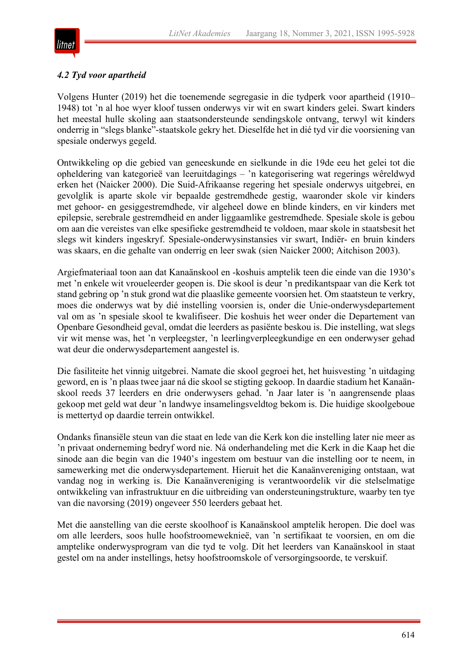

#### *4.2 Tyd voor apartheid*

Volgens Hunter (2019) het die toenemende segregasie in die tydperk voor apartheid (1910– 1948) tot 'n al hoe wyer kloof tussen onderwys vir wit en swart kinders gelei. Swart kinders het meestal hulle skoling aan staatsondersteunde sendingskole ontvang, terwyl wit kinders onderrig in "slegs blanke"-staatskole gekry het. Dieselfde het in dié tyd vir die voorsiening van spesiale onderwys gegeld.

Ontwikkeling op die gebied van geneeskunde en sielkunde in die 19de eeu het gelei tot die opheldering van kategorieë van leeruitdagings – 'n kategorisering wat regerings wêreldwyd erken het (Naicker 2000). Die Suid-Afrikaanse regering het spesiale onderwys uitgebrei, en gevolglik is aparte skole vir bepaalde gestremdhede gestig, waaronder skole vir kinders met gehoor- en gesiggestremdhede, vir algeheel dowe en blinde kinders, en vir kinders met epilepsie, serebrale gestremdheid en ander liggaamlike gestremdhede. Spesiale skole is gebou om aan die vereistes van elke spesifieke gestremdheid te voldoen, maar skole in staatsbesit het slegs wit kinders ingeskryf. Spesiale-onderwysinstansies vir swart, Indiër- en bruin kinders was skaars, en die gehalte van onderrig en leer swak (sien Naicker 2000; Aitchison 2003).

Argiefmateriaal toon aan dat Kanaänskool en -koshuis amptelik teen die einde van die 1930's met 'n enkele wit vroueleerder geopen is. Die skool is deur 'n predikantspaar van die Kerk tot stand gebring op 'n stuk grond wat die plaaslike gemeente voorsien het. Om staatsteun te verkry, moes die onderwys wat by dié instelling voorsien is, onder die Unie-onderwysdepartement val om as 'n spesiale skool te kwalifiseer. Die koshuis het weer onder die Departement van Openbare Gesondheid geval, omdat die leerders as pasiënte beskou is. Die instelling, wat slegs vir wit mense was, het 'n verpleegster, 'n leerlingverpleegkundige en een onderwyser gehad wat deur die onderwysdepartement aangestel is.

Die fasiliteite het vinnig uitgebrei. Namate die skool gegroei het, het huisvesting 'n uitdaging geword, en is 'n plaas twee jaar ná die skool se stigting gekoop. In daardie stadium het Kanaänskool reeds 37 leerders en drie onderwysers gehad. 'n Jaar later is 'n aangrensende plaas gekoop met geld wat deur 'n landwye insamelingsveldtog bekom is. Die huidige skoolgeboue is mettertyd op daardie terrein ontwikkel.

Ondanks finansiële steun van die staat en lede van die Kerk kon die instelling later nie meer as 'n privaat onderneming bedryf word nie. Ná onderhandeling met die Kerk in die Kaap het die sinode aan die begin van die 1940's ingestem om bestuur van die instelling oor te neem, in samewerking met die onderwysdepartement. Hieruit het die Kanaänvereniging ontstaan, wat vandag nog in werking is. Die Kanaänvereniging is verantwoordelik vir die stelselmatige ontwikkeling van infrastruktuur en die uitbreiding van ondersteuningstrukture, waarby ten tye van die navorsing (2019) ongeveer 550 leerders gebaat het.

Met die aanstelling van die eerste skoolhoof is Kanaänskool amptelik heropen. Die doel was om alle leerders, soos hulle hoofstroomeweknieë, van 'n sertifikaat te voorsien, en om die amptelike onderwysprogram van die tyd te volg. Dít het leerders van Kanaänskool in staat gestel om na ander instellings, hetsy hoofstroomskole of versorgingsoorde, te verskuif.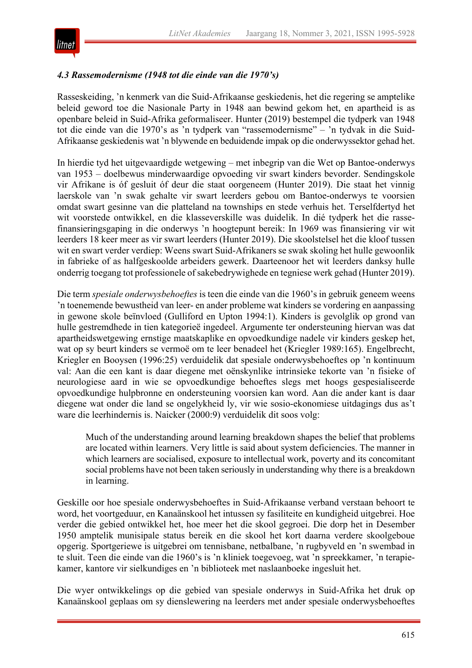

### *4.3 Rassemodernisme (1948 tot die einde van die 1970's)*

Rasseskeiding, 'n kenmerk van die Suid-Afrikaanse geskiedenis, het die regering se amptelike beleid geword toe die Nasionale Party in 1948 aan bewind gekom het, en apartheid is as openbare beleid in Suid-Afrika geformaliseer. Hunter (2019) bestempel die tydperk van 1948 tot die einde van die 1970's as 'n tydperk van "rassemodernisme" – 'n tydvak in die Suid-Afrikaanse geskiedenis wat 'n blywende en beduidende impak op die onderwyssektor gehad het.

In hierdie tyd het uitgevaardigde wetgewing – met inbegrip van die Wet op Bantoe-onderwys van 1953 – doelbewus minderwaardige opvoeding vir swart kinders bevorder. Sendingskole vir Afrikane is óf gesluit óf deur die staat oorgeneem (Hunter 2019). Die staat het vinnig laerskole van 'n swak gehalte vir swart leerders gebou om Bantoe-onderwys te voorsien omdat swart gesinne van die platteland na townships en stede verhuis het. Terselfdertyd het wit voorstede ontwikkel, en die klasseverskille was duidelik. In dié tydperk het die rassefinansieringsgaping in die onderwys 'n hoogtepunt bereik: In 1969 was finansiering vir wit leerders 18 keer meer as vir swart leerders (Hunter 2019). Die skoolstelsel het die kloof tussen wit en swart verder verdiep: Weens swart Suid-Afrikaners se swak skoling het hulle gewoonlik in fabrieke of as halfgeskoolde arbeiders gewerk. Daarteenoor het wit leerders danksy hulle onderrig toegang tot professionele of sakebedrywighede en tegniese werk gehad (Hunter 2019).

Die term *spesiale onderwysbehoeftes* is teen die einde van die 1960's in gebruik geneem weens 'n toenemende bewustheid van leer- en ander probleme wat kinders se vordering en aanpassing in gewone skole beïnvloed (Gulliford en Upton 1994:1). Kinders is gevolglik op grond van hulle gestremdhede in tien kategorieë ingedeel. Argumente ter ondersteuning hiervan was dat apartheidswetgewing ernstige maatskaplike en opvoedkundige nadele vir kinders geskep het, wat op sy beurt kinders se vermoë om te leer benadeel het (Kriegler 1989:165). Engelbrecht, Kriegler en Booysen (1996:25) verduidelik dat spesiale onderwysbehoeftes op 'n kontinuum val: Aan die een kant is daar diegene met oënskynlike intrinsieke tekorte van 'n fisieke of neurologiese aard in wie se opvoedkundige behoeftes slegs met hoogs gespesialiseerde opvoedkundige hulpbronne en ondersteuning voorsien kan word. Aan die ander kant is daar diegene wat onder die land se ongelykheid ly, vir wie sosio-ekonomiese uitdagings dus as't ware die leerhindernis is. Naicker (2000:9) verduidelik dit soos volg:

Much of the understanding around learning breakdown shapes the belief that problems are located within learners. Very little is said about system deficiencies. The manner in which learners are socialised, exposure to intellectual work, poverty and its concomitant social problems have not been taken seriously in understanding why there is a breakdown in learning.

Geskille oor hoe spesiale onderwysbehoeftes in Suid-Afrikaanse verband verstaan behoort te word, het voortgeduur, en Kanaänskool het intussen sy fasiliteite en kundigheid uitgebrei. Hoe verder die gebied ontwikkel het, hoe meer het die skool gegroei. Die dorp het in Desember 1950 amptelik munisipale status bereik en die skool het kort daarna verdere skoolgeboue opgerig. Sportgeriewe is uitgebrei om tennisbane, netbalbane, 'n rugbyveld en 'n swembad in te sluit. Teen die einde van die 1960's is 'n kliniek toegevoeg, wat 'n spreekkamer, 'n terapiekamer, kantore vir sielkundiges en 'n biblioteek met naslaanboeke ingesluit het.

Die wyer ontwikkelings op die gebied van spesiale onderwys in Suid-Afrika het druk op Kanaänskool geplaas om sy dienslewering na leerders met ander spesiale onderwysbehoeftes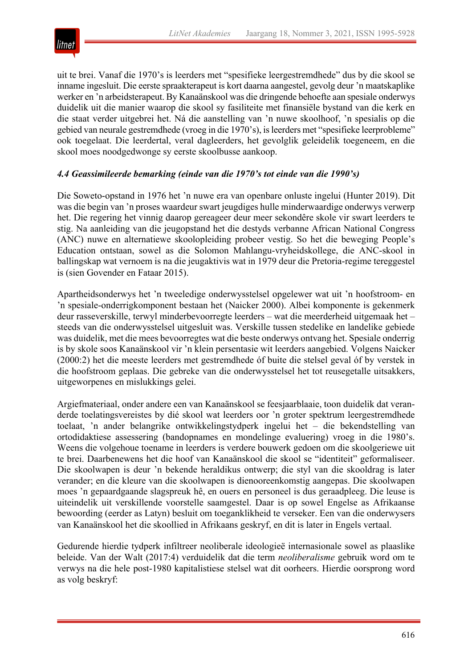

uit te brei. Vanaf die 1970's is leerders met "spesifieke leergestremdhede" dus by die skool se inname ingesluit. Die eerste spraakterapeut is kort daarna aangestel, gevolg deur 'n maatskaplike werker en 'n arbeidsterapeut. By Kanaänskool was die dringende behoefte aan spesiale onderwys duidelik uit die manier waarop die skool sy fasiliteite met finansiële bystand van die kerk en die staat verder uitgebrei het. Ná die aanstelling van 'n nuwe skoolhoof, 'n spesialis op die gebied van neurale gestremdhede (vroeg in die 1970's), is leerders met "spesifieke leerprobleme" ook toegelaat. Die leerdertal, veral dagleerders, het gevolglik geleidelik toegeneem, en die skool moes noodgedwonge sy eerste skoolbusse aankoop.

#### *4.4 Geassimileerde bemarking (einde van die 1970's tot einde van die 1990's)*

Die Soweto-opstand in 1976 het 'n nuwe era van openbare onluste ingelui (Hunter 2019). Dit was die begin van 'n proses waardeur swart jeugdiges hulle minderwaardige onderwys verwerp het. Die regering het vinnig daarop gereageer deur meer sekondêre skole vir swart leerders te stig. Na aanleiding van die jeugopstand het die destyds verbanne African National Congress (ANC) nuwe en alternatiewe skoolopleiding probeer vestig. So het die beweging People's Education ontstaan, sowel as die Solomon Mahlangu-vryheidskollege, die ANC-skool in ballingskap wat vernoem is na die jeugaktivis wat in 1979 deur die Pretoria-regime tereggestel is (sien Govender en Fataar 2015).

Apartheidsonderwys het 'n tweeledige onderwysstelsel opgelewer wat uit 'n hoofstroom- en 'n spesiale-onderrigkomponent bestaan het (Naicker 2000). Albei komponente is gekenmerk deur rasseverskille, terwyl minderbevoorregte leerders – wat die meerderheid uitgemaak het – steeds van die onderwysstelsel uitgesluit was. Verskille tussen stedelike en landelike gebiede was duidelik, met die mees bevoorregtes wat die beste onderwys ontvang het. Spesiale onderrig is by skole soos Kanaänskool vir 'n klein persentasie wit leerders aangebied. Volgens Naicker (2000:2) het die meeste leerders met gestremdhede óf buite die stelsel geval óf by verstek in die hoofstroom geplaas. Die gebreke van die onderwysstelsel het tot reusegetalle uitsakkers, uitgeworpenes en mislukkings gelei.

Argiefmateriaal, onder andere een van Kanaänskool se feesjaarblaaie, toon duidelik dat veranderde toelatingsvereistes by dié skool wat leerders oor 'n groter spektrum leergestremdhede toelaat, 'n ander belangrike ontwikkelingstydperk ingelui het – die bekendstelling van ortodidaktiese assessering (bandopnames en mondelinge evaluering) vroeg in die 1980's. Weens die volgehoue toename in leerders is verdere bouwerk gedoen om die skoolgeriewe uit te brei. Daarbenewens het die hoof van Kanaänskool die skool se "identiteit" geformaliseer. Die skoolwapen is deur 'n bekende heraldikus ontwerp; die styl van die skooldrag is later verander; en die kleure van die skoolwapen is dienooreenkomstig aangepas. Die skoolwapen moes 'n gepaardgaande slagspreuk hê, en ouers en personeel is dus geraadpleeg. Die leuse is uiteindelik uit verskillende voorstelle saamgestel. Daar is op sowel Engelse as Afrikaanse bewoording (eerder as Latyn) besluit om toeganklikheid te verseker. Een van die onderwysers van Kanaänskool het die skoollied in Afrikaans geskryf, en dit is later in Engels vertaal.

Gedurende hierdie tydperk infiltreer neoliberale ideologieë internasionale sowel as plaaslike beleide. Van der Walt (2017:4) verduidelik dat die term *neoliberalisme* gebruik word om te verwys na die hele post-1980 kapitalistiese stelsel wat dit oorheers. Hierdie oorsprong word as volg beskryf: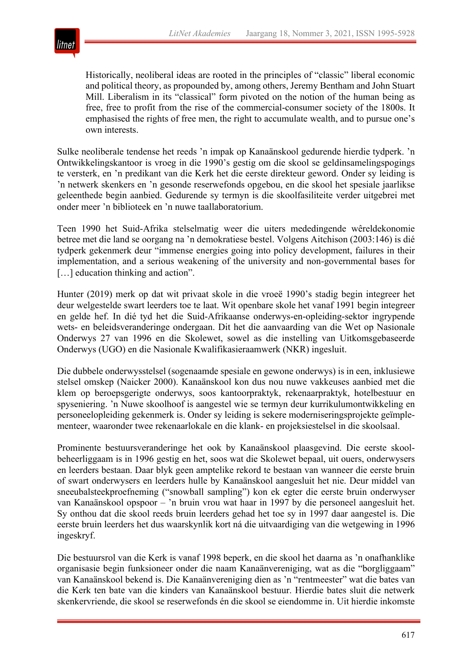

Historically, neoliberal ideas are rooted in the principles of "classic" liberal economic and political theory, as propounded by, among others, Jeremy Bentham and John Stuart Mill. Liberalism in its "classical" form pivoted on the notion of the human being as free, free to profit from the rise of the commercial-consumer society of the 1800s. It emphasised the rights of free men, the right to accumulate wealth, and to pursue one's own interests.

Sulke neoliberale tendense het reeds 'n impak op Kanaänskool gedurende hierdie tydperk. 'n Ontwikkelingskantoor is vroeg in die 1990's gestig om die skool se geldinsamelingspogings te versterk, en 'n predikant van die Kerk het die eerste direkteur geword. Onder sy leiding is 'n netwerk skenkers en 'n gesonde reserwefonds opgebou, en die skool het spesiale jaarlikse geleenthede begin aanbied. Gedurende sy termyn is die skoolfasiliteite verder uitgebrei met onder meer 'n biblioteek en 'n nuwe taallaboratorium.

Teen 1990 het Suid-Afrika stelselmatig weer die uiters mededingende wêreldekonomie betree met die land se oorgang na 'n demokratiese bestel. Volgens Aitchison (2003:146) is dié tydperk gekenmerk deur "immense energies going into policy development, failures in their implementation, and a serious weakening of the university and non-governmental bases for [...] education thinking and action".

Hunter (2019) merk op dat wit privaat skole in die vroeë 1990's stadig begin integreer het deur welgestelde swart leerders toe te laat. Wit openbare skole het vanaf 1991 begin integreer en gelde hef. In dié tyd het die Suid-Afrikaanse onderwys-en-opleiding-sektor ingrypende wets- en beleidsveranderinge ondergaan. Dit het die aanvaarding van die Wet op Nasionale Onderwys 27 van 1996 en die Skolewet, sowel as die instelling van Uitkomsgebaseerde Onderwys (UGO) en die Nasionale Kwalifikasieraamwerk (NKR) ingesluit.

Die dubbele onderwysstelsel (sogenaamde spesiale en gewone onderwys) is in een, inklusiewe stelsel omskep (Naicker 2000). Kanaänskool kon dus nou nuwe vakkeuses aanbied met die klem op beroepsgerigte onderwys, soos kantoorpraktyk, rekenaarpraktyk, hotelbestuur en spyseniering. 'n Nuwe skoolhoof is aangestel wie se termyn deur kurrikulumontwikkeling en personeelopleiding gekenmerk is. Onder sy leiding is sekere moderniseringsprojekte geïmplementeer, waaronder twee rekenaarlokale en die klank- en projeksiestelsel in die skoolsaal.

Prominente bestuursveranderinge het ook by Kanaänskool plaasgevind. Die eerste skoolbeheerliggaam is in 1996 gestig en het, soos wat die Skolewet bepaal, uit ouers, onderwysers en leerders bestaan. Daar blyk geen amptelike rekord te bestaan van wanneer die eerste bruin of swart onderwysers en leerders hulle by Kanaänskool aangesluit het nie. Deur middel van sneeubalsteekproefneming ("snowball sampling") kon ek egter die eerste bruin onderwyser van Kanaänskool opspoor – 'n bruin vrou wat haar in 1997 by die personeel aangesluit het. Sy onthou dat die skool reeds bruin leerders gehad het toe sy in 1997 daar aangestel is. Die eerste bruin leerders het dus waarskynlik kort ná die uitvaardiging van die wetgewing in 1996 ingeskryf.

Die bestuursrol van die Kerk is vanaf 1998 beperk, en die skool het daarna as 'n onafhanklike organisasie begin funksioneer onder die naam Kanaänvereniging, wat as die "borgliggaam" van Kanaänskool bekend is. Die Kanaänvereniging dien as 'n "rentmeester" wat die bates van die Kerk ten bate van die kinders van Kanaänskool bestuur. Hierdie bates sluit die netwerk skenkervriende, die skool se reserwefonds én die skool se eiendomme in. Uit hierdie inkomste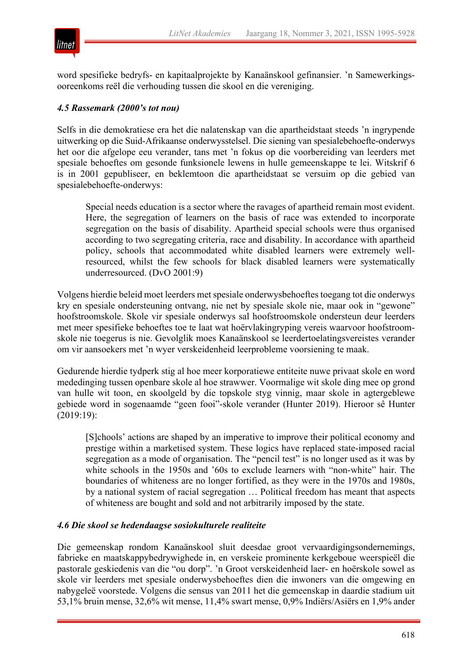

word spesifieke bedryfs- en kapitaalprojekte by Kanaänskool gefinansier. 'n Samewerkingsooreenkoms reël die verhouding tussen die skool en die vereniging.

#### *4.5 Rassemark (2000's tot nou)*

Selfs in die demokratiese era het die nalatenskap van die apartheidstaat steeds 'n ingrypende uitwerking op die Suid-Afrikaanse onderwysstelsel. Die siening van spesialebehoefte-onderwys het oor die afgelope eeu verander, tans met 'n fokus op die voorbereiding van leerders met spesiale behoeftes om gesonde funksionele lewens in hulle gemeenskappe te lei. Witskrif 6 is in 2001 gepubliseer, en beklemtoon die apartheidstaat se versuim op die gebied van spesialebehoefte-onderwys:

Special needs education is a sector where the ravages of apartheid remain most evident. Here, the segregation of learners on the basis of race was extended to incorporate segregation on the basis of disability. Apartheid special schools were thus organised according to two segregating criteria, race and disability. In accordance with apartheid policy, schools that accommodated white disabled learners were extremely wellresourced, whilst the few schools for black disabled learners were systematically underresourced. (DvO 2001:9)

Volgens hierdie beleid moet leerders met spesiale onderwysbehoeftes toegang tot die onderwys kry en spesiale ondersteuning ontvang, nie net by spesiale skole nie, maar ook in "gewone" hoofstroomskole. Skole vir spesiale onderwys sal hoofstroomskole ondersteun deur leerders met meer spesifieke behoeftes toe te laat wat hoërvlakingryping vereis waarvoor hoofstroomskole nie toegerus is nie. Gevolglik moes Kanaänskool se leerdertoelatingsvereistes verander om vir aansoekers met 'n wyer verskeidenheid leerprobleme voorsiening te maak.

Gedurende hierdie tydperk stig al hoe meer korporatiewe entiteite nuwe privaat skole en word mededinging tussen openbare skole al hoe strawwer. Voormalige wit skole ding mee op grond van hulle wit toon, en skoolgeld by die topskole styg vinnig, maar skole in agtergeblewe gebiede word in sogenaamde "geen fooi"-skole verander (Hunter 2019). Hieroor sê Hunter (2019:19):

[S]chools' actions are shaped by an imperative to improve their political economy and prestige within a marketised system. These logics have replaced state-imposed racial segregation as a mode of organisation. The "pencil test" is no longer used as it was by white schools in the 1950s and '60s to exclude learners with "non-white" hair. The boundaries of whiteness are no longer fortified, as they were in the 1970s and 1980s, by a national system of racial segregation … Political freedom has meant that aspects of whiteness are bought and sold and not arbitrarily imposed by the state.

#### *4.6 Die skool se hedendaagse sosiokulturele realiteite*

Die gemeenskap rondom Kanaänskool sluit deesdae groot vervaardigingsondernemings, fabrieke en maatskappybedrywighede in, en verskeie prominente kerkgeboue weerspieël die pastorale geskiedenis van die "ou dorp". 'n Groot verskeidenheid laer- en hoërskole sowel as skole vir leerders met spesiale onderwysbehoeftes dien die inwoners van die omgewing en nabygeleë voorstede. Volgens die sensus van 2011 het die gemeenskap in daardie stadium uit 53,1% bruin mense, 32,6% wit mense, 11,4% swart mense, 0,9% Indiërs/Asiërs en 1,9% ander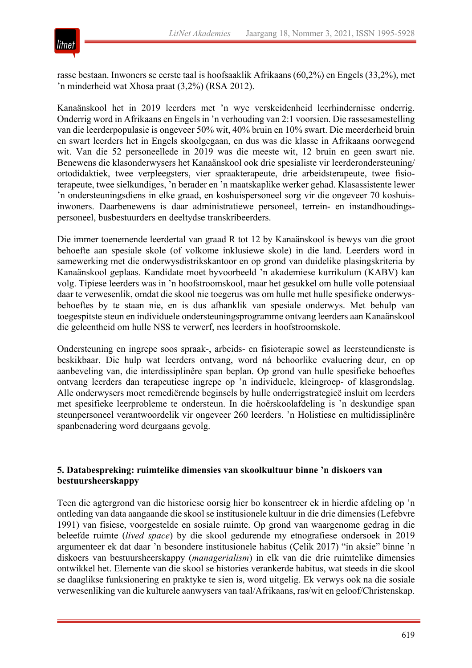

rasse bestaan. Inwoners se eerste taal is hoofsaaklik Afrikaans (60,2%) en Engels (33,2%), met 'n minderheid wat Xhosa praat (3,2%) (RSA 2012).

Kanaänskool het in 2019 leerders met 'n wye verskeidenheid leerhindernisse onderrig. Onderrig word in Afrikaans en Engels in 'n verhouding van 2:1 voorsien. Die rassesamestelling van die leerderpopulasie is ongeveer 50% wit, 40% bruin en 10% swart. Die meerderheid bruin en swart leerders het in Engels skoolgegaan, en dus was die klasse in Afrikaans oorwegend wit. Van die 52 personeellede in 2019 was die meeste wit, 12 bruin en geen swart nie. Benewens die klasonderwysers het Kanaänskool ook drie spesialiste vir leerderondersteuning/ ortodidaktiek, twee verpleegsters, vier spraakterapeute, drie arbeidsterapeute, twee fisioterapeute, twee sielkundiges, 'n berader en 'n maatskaplike werker gehad. Klasassistente lewer 'n ondersteuningsdiens in elke graad, en koshuispersoneel sorg vir die ongeveer 70 koshuisinwoners. Daarbenewens is daar administratiewe personeel, terrein- en instandhoudingspersoneel, busbestuurders en deeltydse transkribeerders.

Die immer toenemende leerdertal van graad R tot 12 by Kanaänskool is bewys van die groot behoefte aan spesiale skole (of volkome inklusiewe skole) in die land. Leerders word in samewerking met die onderwysdistrikskantoor en op grond van duidelike plasingskriteria by Kanaänskool geplaas. Kandidate moet byvoorbeeld 'n akademiese kurrikulum (KABV) kan volg. Tipiese leerders was in 'n hoofstroomskool, maar het gesukkel om hulle volle potensiaal daar te verwesenlik, omdat die skool nie toegerus was om hulle met hulle spesifieke onderwysbehoeftes by te staan nie, en is dus afhanklik van spesiale onderwys. Met behulp van toegespitste steun en individuele ondersteuningsprogramme ontvang leerders aan Kanaänskool die geleentheid om hulle NSS te verwerf, nes leerders in hoofstroomskole.

Ondersteuning en ingrepe soos spraak-, arbeids- en fisioterapie sowel as leersteundienste is beskikbaar. Die hulp wat leerders ontvang, word ná behoorlike evaluering deur, en op aanbeveling van, die interdissiplinêre span beplan. Op grond van hulle spesifieke behoeftes ontvang leerders dan terapeutiese ingrepe op 'n individuele, kleingroep- of klasgrondslag. Alle onderwysers moet remediërende beginsels by hulle onderrigstrategieë insluit om leerders met spesifieke leerprobleme te ondersteun. In die hoërskoolafdeling is 'n deskundige span steunpersoneel verantwoordelik vir ongeveer 260 leerders. 'n Holistiese en multidissiplinêre spanbenadering word deurgaans gevolg.

#### **5. Databespreking: ruimtelike dimensies van skoolkultuur binne 'n diskoers van bestuursheerskappy**

Teen die agtergrond van die historiese oorsig hier bo konsentreer ek in hierdie afdeling op 'n ontleding van data aangaande die skool se institusionele kultuur in die drie dimensies (Lefebvre 1991) van fisiese, voorgestelde en sosiale ruimte. Op grond van waargenome gedrag in die beleefde ruimte (*lived space*) by die skool gedurende my etnografiese ondersoek in 2019 argumenteer ek dat daar 'n besondere institusionele habitus (Çelik 2017) "in aksie" binne 'n diskoers van bestuursheerskappy (*managerialism*) in elk van die drie ruimtelike dimensies ontwikkel het. Elemente van die skool se histories verankerde habitus, wat steeds in die skool se daaglikse funksionering en praktyke te sien is, word uitgelig. Ek verwys ook na die sosiale verwesenliking van die kulturele aanwysers van taal/Afrikaans, ras/wit en geloof/Christenskap.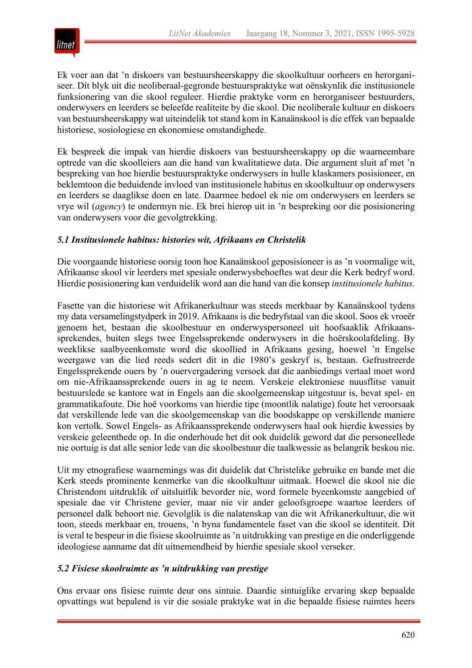

Ek voer aan dat 'n diskoers van bestuursheerskappy die skoolkultuur oorheers en herorganiseer. Dít blyk uit die neoliberaal-gegronde bestuurspraktyke wat oënskynlik die institusionele funksionering van die skool reguleer. Hierdie praktyke vorm en herorganiseer bestuurders, onderwysers en leerders se beleefde realiteite by die skool. Die neoliberale kultuur en diskoers van bestuursheerskappy wat uiteindelik tot stand kom in Kanaänskool is die effek van bepaalde historiese, sosiologiese en ekonomiese omstandighede.

Ek bespreek die impak van hierdie diskoers van bestuursheerskappy op die waarneembare optrede van die skoolleiers aan die hand van kwalitatiewe data. Die argument sluit af met 'n bespreking van hoe hierdie bestuurspraktyke onderwysers in hulle klaskamers posisioneer, en beklemtoon die beduidende invloed van institusionele habitus en skoolkultuur op onderwysers en leerders se daaglikse doen en late. Daarmee bedoel ek nie om onderwysers en leerders se vrye wil (*agency*) te ondermyn nie. Ek brei hierop uit in 'n bespreking oor die posisionering van onderwysers voor die gevolgtrekking.

#### *5.1 Institusionele habitus: histories wit, Afrikaans en Christelik*

Die voorgaande historiese oorsig toon hoe Kanaänskool geposisioneer is as 'n voormalige wit, Afrikaanse skool vir leerders met spesiale onderwysbehoeftes wat deur die Kerk bedryf word. Hierdie posisionering kan verduidelik word aan die hand van die konsep *institusionele habitus.*

Fasette van die historiese wit Afrikanerkultuur was steeds merkbaar by Kanaänskool tydens my data versamelingstydperk in 2019. Afrikaans is die bedryfstaal van die skool. Soos ek vroeër genoem het, bestaan die skoolbestuur en onderwyspersoneel uit hoofsaaklik Afrikaanssprekendes, buiten slegs twee Engelssprekende onderwysers in die hoërskoolafdeling. By weeklikse saalbyeenkomste word die skoollied in Afrikaans gesing, hoewel 'n Engelse weergawe van die lied reeds sedert dit in die 1980's geskryf is, bestaan. Gefrustreerde Engelssprekende ouers by 'n ouervergadering versoek dat die aanbiedings vertaal moet word om nie-Afrikaanssprekende ouers in ag te neem. Verskeie elektroniese nuusflitse vanuit bestuurslede se kantore wat in Engels aan die skoolgemeenskap uitgestuur is, bevat spel- en grammatikafoute. Die hoë voorkoms van hierdie tipe (moontlik nalatige) foute het veroorsaak dat verskillende lede van die skoolgemeenskap van die boodskappe op verskillende maniere kon vertolk. Sowel Engels- as Afrikaanssprekende onderwysers haal ook hierdie kwessies by verskeie geleenthede op. In die onderhoude het dit ook duidelik geword dat die personeellede nie oortuig is dat alle senior lede van die skoolbestuur die taalkwessie as belangrik beskou nie.

Uit my etnografiese waarnemings was dit duidelik dat Christelike gebruike en bande met die Kerk steeds prominente kenmerke van die skoolkultuur uitmaak. Hoewel die skool nie die Christendom uitdruklik of uitsluitlik bevorder nie, word formele byeenkomste aangebied of spesiale dae vir Christene gevier, maar nie vir ander geloofsgroepe waartoe leerders of personeel dalk behoort nie. Gevolglik is die nalatenskap van die wit Afrikanerkultuur, die wit toon, steeds merkbaar en, trouens, 'n byna fundamentele faset van die skool se identiteit. Dit is veral te bespeur in die fisiese skoolruimte as 'n uitdrukking van prestige en die onderliggende ideologiese aanname dat dít uitnemendheid by hierdie spesiale skool verseker.

#### *5.2 Fisiese skoolruimte as 'n uitdrukking van prestige*

Ons ervaar ons fisiese ruimte deur ons sintuie. Daardie sintuiglike ervaring skep bepaalde opvattings wat bepalend is vir die sosiale praktyke wat in die bepaalde fisiese ruimtes heers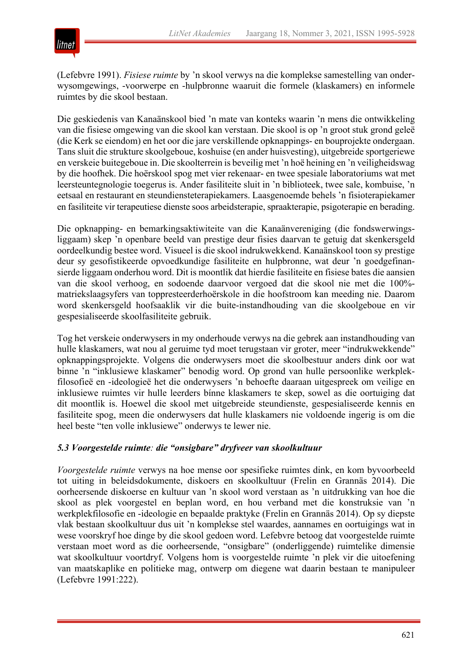

(Lefebvre 1991). *Fisiese ruimte* by 'n skool verwys na die komplekse samestelling van onderwysomgewings, -voorwerpe en -hulpbronne waaruit die formele (klaskamers) en informele ruimtes by die skool bestaan.

Die geskiedenis van Kanaänskool bied 'n mate van konteks waarin 'n mens die ontwikkeling van die fisiese omgewing van die skool kan verstaan. Die skool is op 'n groot stuk grond geleë (die Kerk se eiendom) en het oor die jare verskillende opknappings- en bouprojekte ondergaan. Tans sluit die strukture skoolgeboue, koshuise (en ander huisvesting), uitgebreide sportgeriewe en verskeie buitegeboue in. Die skoolterrein is beveilig met 'n hoë heining en 'n veiligheidswag by die hoofhek. Die hoërskool spog met vier rekenaar- en twee spesiale laboratoriums wat met leersteuntegnologie toegerus is. Ander fasiliteite sluit in 'n biblioteek, twee sale, kombuise, 'n eetsaal en restaurant en steundiensteterapiekamers. Laasgenoemde behels 'n fisioterapiekamer en fasiliteite vir terapeutiese dienste soos arbeidsterapie, spraakterapie, psigoterapie en berading.

Die opknapping- en bemarkingsaktiwiteite van die Kanaänvereniging (die fondswerwingsliggaam) skep 'n openbare beeld van prestige deur fisies daarvan te getuig dat skenkersgeld oordeelkundig bestee word. Visueel is die skool indrukwekkend. Kanaänskool toon sy prestige deur sy gesofistikeerde opvoedkundige fasiliteite en hulpbronne, wat deur 'n goedgefinansierde liggaam onderhou word. Dit is moontlik dat hierdie fasiliteite en fisiese bates die aansien van die skool verhoog, en sodoende daarvoor vergoed dat die skool nie met die 100% matriekslaagsyfers van toppresteerderhoërskole in die hoofstroom kan meeding nie. Daarom word skenkersgeld hoofsaaklik vir die buite-instandhouding van die skoolgeboue en vir gespesialiseerde skoolfasiliteite gebruik.

Tog het verskeie onderwysers in my onderhoude verwys na die gebrek aan instandhouding van hulle klaskamers, wat nou al geruime tyd moet terugstaan vir groter, meer "indrukwekkende" opknappingsprojekte. Volgens die onderwysers moet die skoolbestuur anders dink oor wat binne 'n "inklusiewe klaskamer" benodig word. Op grond van hulle persoonlike werkplekfilosofieë en -ideologieë het die onderwysers 'n behoefte daaraan uitgespreek om veilige en inklusiewe ruimtes vir hulle leerders bínne klaskamers te skep, sowel as die oortuiging dat dit moontlik is. Hoewel die skool met uitgebreide steundienste, gespesialiseerde kennis en fasiliteite spog, meen die onderwysers dat hulle klaskamers nie voldoende ingerig is om die heel beste "ten volle inklusiewe" onderwys te lewer nie.

#### *5.3 Voorgestelde ruimte: die "onsigbare" dryfveer van skoolkultuur*

*Voorgestelde ruimte* verwys na hoe mense oor spesifieke ruimtes dink, en kom byvoorbeeld tot uiting in beleidsdokumente, diskoers en skoolkultuur (Frelin en Grannäs 2014). Die oorheersende diskoerse en kultuur van 'n skool word verstaan as 'n uitdrukking van hoe die skool as plek voorgestel en beplan word, en hou verband met die konstruksie van 'n werkplekfilosofie en -ideologie en bepaalde praktyke (Frelin en Grannäs 2014). Op sy diepste vlak bestaan skoolkultuur dus uit 'n komplekse stel waardes, aannames en oortuigings wat in wese voorskryf hoe dinge by die skool gedoen word. Lefebvre betoog dat voorgestelde ruimte verstaan moet word as die oorheersende, "onsigbare" (onderliggende) ruimtelike dimensie wat skoolkultuur voortdryf. Volgens hom is voorgestelde ruimte 'n plek vir die uitoefening van maatskaplike en politieke mag, ontwerp om diegene wat daarin bestaan te manipuleer (Lefebvre 1991:222).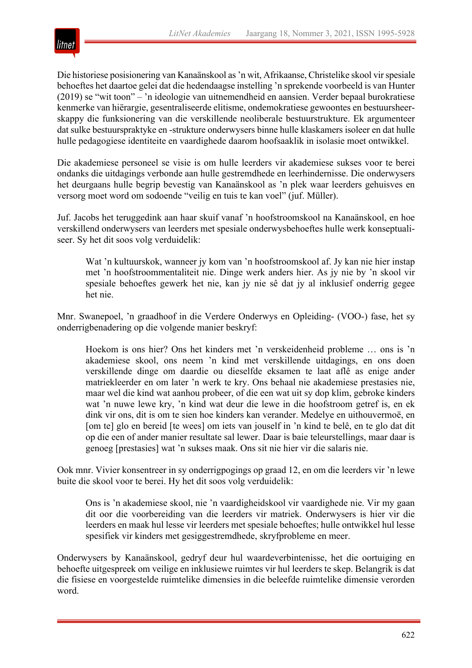

Die historiese posisionering van Kanaänskool as 'n wit, Afrikaanse, Christelike skool vir spesiale behoeftes het daartoe gelei dat die hedendaagse instelling 'n sprekende voorbeeld is van Hunter (2019) se "wit toon" – 'n ideologie van uitnemendheid en aansien. Verder bepaal burokratiese kenmerke van hiërargie, gesentraliseerde elitisme, ondemokratiese gewoontes en bestuursheerskappy die funksionering van die verskillende neoliberale bestuurstrukture. Ek argumenteer dat sulke bestuurspraktyke en -strukture onderwysers binne hulle klaskamers isoleer en dat hulle hulle pedagogiese identiteite en vaardighede daarom hoofsaaklik in isolasie moet ontwikkel.

Die akademiese personeel se visie is om hulle leerders vir akademiese sukses voor te berei ondanks die uitdagings verbonde aan hulle gestremdhede en leerhindernisse. Die onderwysers het deurgaans hulle begrip bevestig van Kanaänskool as 'n plek waar leerders gehuisves en versorg moet word om sodoende "veilig en tuis te kan voel" (juf. Müller).

Juf. Jacobs het teruggedink aan haar skuif vanaf 'n hoofstroomskool na Kanaänskool, en hoe verskillend onderwysers van leerders met spesiale onderwysbehoeftes hulle werk konseptualiseer. Sy het dit soos volg verduidelik:

Wat 'n kultuurskok, wanneer jy kom van 'n hoofstroomskool af. Jy kan nie hier instap met 'n hoofstroommentaliteit nie. Dinge werk anders hier. As jy nie by 'n skool vir spesiale behoeftes gewerk het nie, kan jy nie sê dat jy al inklusief onderrig gegee het nie.

Mnr. Swanepoel, 'n graadhoof in die Verdere Onderwys en Opleiding- (VOO-) fase, het sy onderrigbenadering op die volgende manier beskryf:

Hoekom is ons hier? Ons het kinders met 'n verskeidenheid probleme … ons is 'n akademiese skool, ons neem 'n kind met verskillende uitdagings, en ons doen verskillende dinge om daardie ou dieselfde eksamen te laat aflê as enige ander matriekleerder en om later 'n werk te kry. Ons behaal nie akademiese prestasies nie, maar wel die kind wat aanhou probeer, of die een wat uit sy dop klim, gebroke kinders wat 'n nuwe lewe kry, 'n kind wat deur die lewe in die hoofstroom getref is, en ek dink vir ons, dit is om te sien hoe kinders kan verander. Medelye en uithouvermoë, en [om te] glo en bereid [te wees] om iets van jouself in 'n kind te belê, en te glo dat dit op die een of ander manier resultate sal lewer. Daar is baie teleurstellings, maar daar is genoeg [prestasies] wat 'n sukses maak. Ons sit nie hier vir die salaris nie.

Ook mnr. Vivier konsentreer in sy onderrigpogings op graad 12, en om die leerders vir 'n lewe buite die skool voor te berei. Hy het dit soos volg verduidelik:

Ons is 'n akademiese skool, nie 'n vaardigheidskool vir vaardighede nie. Vir my gaan dit oor die voorbereiding van die leerders vir matriek. Onderwysers is hier vir die leerders en maak hul lesse vir leerders met spesiale behoeftes; hulle ontwikkel hul lesse spesifiek vir kinders met gesiggestremdhede, skryfprobleme en meer.

Onderwysers by Kanaänskool, gedryf deur hul waardeverbintenisse, het die oortuiging en behoefte uitgespreek om veilige en inklusiewe ruimtes vir hul leerders te skep. Belangrik is dat die fisiese en voorgestelde ruimtelike dimensies in die beleefde ruimtelike dimensie verorden word.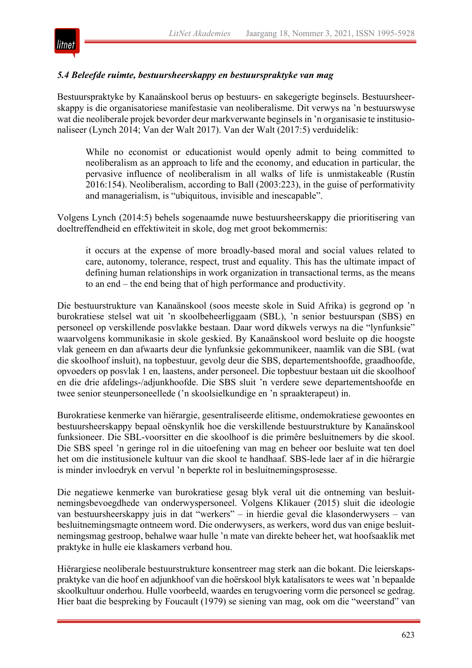

#### *5.4 Beleefde ruimte, bestuursheerskappy en bestuurspraktyke van mag*

Bestuurspraktyke by Kanaänskool berus op bestuurs- en sakegerigte beginsels. Bestuursheerskappy is die organisatoriese manifestasie van neoliberalisme. Dit verwys na 'n bestuurswyse wat die neoliberale projek bevorder deur markverwante beginsels in 'n organisasie te institusionaliseer (Lynch 2014; Van der Walt 2017). Van der Walt (2017:5) verduidelik:

While no economist or educationist would openly admit to being committed to neoliberalism as an approach to life and the economy, and education in particular, the pervasive influence of neoliberalism in all walks of life is unmistakeable (Rustin 2016:154). Neoliberalism, according to Ball (2003:223), in the guise of performativity and managerialism, is "ubiquitous, invisible and inescapable".

Volgens Lynch (2014:5) behels sogenaamde nuwe bestuursheerskappy die prioritisering van doeltreffendheid en effektiwiteit in skole, dog met groot bekommernis:

it occurs at the expense of more broadly-based moral and social values related to care, autonomy, tolerance, respect, trust and equality. This has the ultimate impact of defining human relationships in work organization in transactional terms, as the means to an end – the end being that of high performance and productivity.

Die bestuurstrukture van Kanaänskool (soos meeste skole in Suid Afrika) is gegrond op 'n burokratiese stelsel wat uit 'n skoolbeheerliggaam (SBL), 'n senior bestuurspan (SBS) en personeel op verskillende posvlakke bestaan. Daar word dikwels verwys na die "lynfunksie" waarvolgens kommunikasie in skole geskied. By Kanaänskool word besluite op die hoogste vlak geneem en dan afwaarts deur die lynfunksie gekommunikeer, naamlik van die SBL (wat die skoolhoof insluit), na topbestuur, gevolg deur die SBS, departementshoofde, graadhoofde, opvoeders op posvlak 1 en, laastens, ander personeel. Die topbestuur bestaan uit die skoolhoof en die drie afdelings-/adjunkhoofde. Die SBS sluit 'n verdere sewe departementshoofde en twee senior steunpersoneellede ('n skoolsielkundige en 'n spraakterapeut) in.

Burokratiese kenmerke van hiërargie, gesentraliseerde elitisme, ondemokratiese gewoontes en bestuursheerskappy bepaal oënskynlik hoe die verskillende bestuurstrukture by Kanaänskool funksioneer. Die SBL-voorsitter en die skoolhoof is die primêre besluitnemers by die skool. Die SBS speel 'n geringe rol in die uitoefening van mag en beheer oor besluite wat ten doel het om die institusionele kultuur van die skool te handhaaf. SBS-lede laer af in die hiërargie is minder invloedryk en vervul 'n beperkte rol in besluitnemingsprosesse.

Die negatiewe kenmerke van burokratiese gesag blyk veral uit die ontneming van besluitnemingsbevoegdhede van onderwyspersoneel. Volgens Klikauer (2015) sluit die ideologie van bestuursheerskappy juis in dat "werkers" – in hierdie geval die klasonderwysers – van besluitnemingsmagte ontneem word. Die onderwysers, as werkers, word dus van enige besluitnemingsmag gestroop, behalwe waar hulle 'n mate van direkte beheer het, wat hoofsaaklik met praktyke in hulle eie klaskamers verband hou.

Hiërargiese neoliberale bestuurstrukture konsentreer mag sterk aan die bokant. Die leierskapspraktyke van die hoof en adjunkhoof van die hoërskool blyk katalisators te wees wat 'n bepaalde skoolkultuur onderhou. Hulle voorbeeld, waardes en terugvoering vorm die personeel se gedrag. Hier baat die bespreking by Foucault (1979) se siening van mag, ook om die "weerstand" van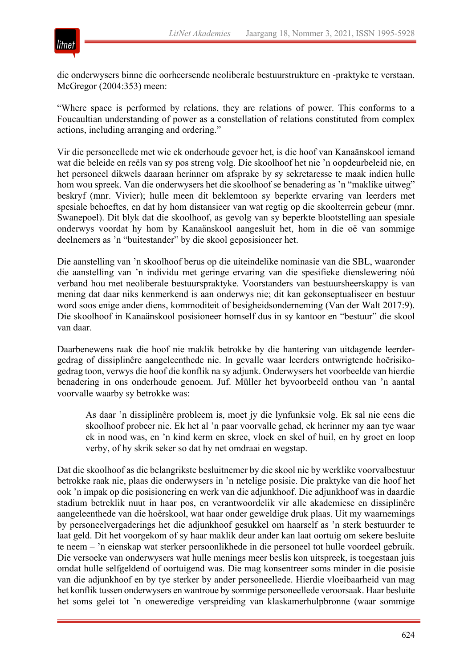

die onderwysers binne die oorheersende neoliberale bestuurstrukture en -praktyke te verstaan. McGregor (2004:353) meen:

"Where space is performed by relations, they are relations of power. This conforms to a Foucaultian understanding of power as a constellation of relations constituted from complex actions, including arranging and ordering."

Vir die personeellede met wie ek onderhoude gevoer het, is die hoof van Kanaänskool iemand wat die beleide en reëls van sy pos streng volg. Die skoolhoof het nie 'n oopdeurbeleid nie, en het personeel dikwels daaraan herinner om afsprake by sy sekretaresse te maak indien hulle hom wou spreek. Van die onderwysers het die skoolhoof se benadering as 'n "maklike uitweg" beskryf (mnr. Vivier); hulle meen dit beklemtoon sy beperkte ervaring van leerders met spesiale behoeftes, en dat hy hom distansieer van wat regtig op die skoolterrein gebeur (mnr. Swanepoel). Dit blyk dat die skoolhoof, as gevolg van sy beperkte blootstelling aan spesiale onderwys voordat hy hom by Kanaänskool aangesluit het, hom in die oë van sommige deelnemers as 'n "buitestander" by die skool geposisioneer het.

Die aanstelling van 'n skoolhoof berus op die uiteindelike nominasie van die SBL, waaronder die aanstelling van 'n individu met geringe ervaring van die spesifieke dienslewering nóú verband hou met neoliberale bestuurspraktyke. Voorstanders van bestuursheerskappy is van mening dat daar niks kenmerkend is aan onderwys nie; dit kan gekonseptualiseer en bestuur word soos enige ander diens, kommoditeit of besigheidsonderneming (Van der Walt 2017:9). Die skoolhoof in Kanaänskool posisioneer homself dus in sy kantoor en "bestuur" die skool van daar.

Daarbenewens raak die hoof nie maklik betrokke by die hantering van uitdagende leerdergedrag of dissiplinêre aangeleenthede nie. In gevalle waar leerders ontwrigtende hoërisikogedrag toon, verwys die hoof die konflik na sy adjunk. Onderwysers het voorbeelde van hierdie benadering in ons onderhoude genoem. Juf. Müller het byvoorbeeld onthou van 'n aantal voorvalle waarby sy betrokke was:

As daar 'n dissiplinêre probleem is, moet jy die lynfunksie volg. Ek sal nie eens die skoolhoof probeer nie. Ek het al 'n paar voorvalle gehad, ek herinner my aan tye waar ek in nood was, en 'n kind kerm en skree, vloek en skel of huil, en hy groet en loop verby, of hy skrik seker so dat hy net omdraai en wegstap.

Dat die skoolhoof as die belangrikste besluitnemer by die skool nie by werklike voorvalbestuur betrokke raak nie, plaas die onderwysers in 'n netelige posisie. Die praktyke van die hoof het ook 'n impak op die posisionering en werk van die adjunkhoof. Die adjunkhoof was in daardie stadium betreklik nuut in haar pos, en verantwoordelik vir alle akademiese en dissiplinêre aangeleenthede van die hoërskool, wat haar onder geweldige druk plaas. Uit my waarnemings by personeelvergaderings het die adjunkhoof gesukkel om haarself as 'n sterk bestuurder te laat geld. Dit het voorgekom of sy haar maklik deur ander kan laat oortuig om sekere besluite te neem – 'n eienskap wat sterker persoonlikhede in die personeel tot hulle voordeel gebruik. Die versoeke van onderwysers wat hulle menings meer beslis kon uitspreek, is toegestaan juis omdat hulle selfgeldend of oortuigend was. Die mag konsentreer soms minder in die posisie van die adjunkhoof en by tye sterker by ander personeellede. Hierdie vloeibaarheid van mag het konflik tussen onderwysers en wantroue by sommige personeellede veroorsaak. Haar besluite het soms gelei tot 'n oneweredige verspreiding van klaskamerhulpbronne (waar sommige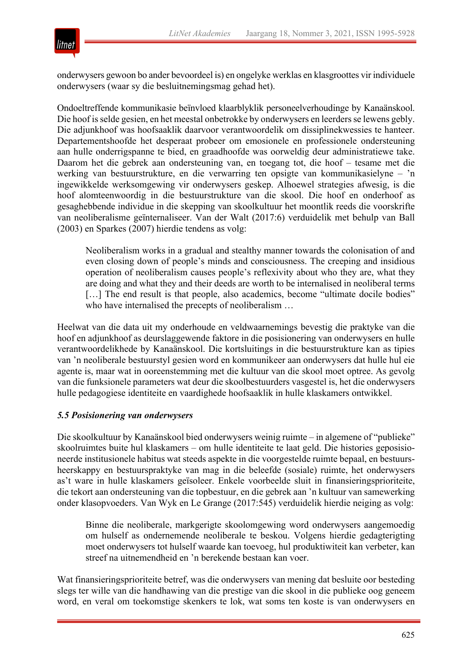

onderwysers gewoon bo ander bevoordeel is) en ongelyke werklas en klasgroottes vir individuele onderwysers (waar sy die besluitnemingsmag gehad het).

Ondoeltreffende kommunikasie beïnvloed klaarblyklik personeelverhoudinge by Kanaänskool. Die hoof is selde gesien, en het meestal onbetrokke by onderwysers en leerders se lewens gebly. Die adjunkhoof was hoofsaaklik daarvoor verantwoordelik om dissiplinekwessies te hanteer. Departementshoofde het desperaat probeer om emosionele en professionele ondersteuning aan hulle onderrigspanne te bied, en graadhoofde was oorweldig deur administratiewe take. Daarom het die gebrek aan ondersteuning van, en toegang tot, die hoof – tesame met die werking van bestuurstrukture, en die verwarring ten opsigte van kommunikasielyne – 'n ingewikkelde werksomgewing vir onderwysers geskep. Alhoewel strategies afwesig, is die hoof alomteenwoordig in die bestuurstrukture van die skool. Die hoof en onderhoof as gesaghebbende individue in die skepping van skoolkultuur het moontlik reeds die voorskrifte van neoliberalisme geïnternaliseer. Van der Walt (2017:6) verduidelik met behulp van Ball (2003) en Sparkes (2007) hierdie tendens as volg:

Neoliberalism works in a gradual and stealthy manner towards the colonisation of and even closing down of people's minds and consciousness. The creeping and insidious operation of neoliberalism causes people's reflexivity about who they are, what they are doing and what they and their deeds are worth to be internalised in neoliberal terms [...] The end result is that people, also academics, become "ultimate docile bodies" who have internalised the precepts of neoliberalism …

Heelwat van die data uit my onderhoude en veldwaarnemings bevestig die praktyke van die hoof en adjunkhoof as deurslaggewende faktore in die posisionering van onderwysers en hulle verantwoordelikhede by Kanaänskool. Die kortsluitings in die bestuurstrukture kan as tipies van 'n neoliberale bestuurstyl gesien word en kommunikeer aan onderwysers dat hulle hul eie agente is, maar wat in ooreenstemming met die kultuur van die skool moet optree. As gevolg van die funksionele parameters wat deur die skoolbestuurders vasgestel is, het die onderwysers hulle pedagogiese identiteite en vaardighede hoofsaaklik in hulle klaskamers ontwikkel.

#### *5.5 Posisionering van onderwysers*

Die skoolkultuur by Kanaänskool bied onderwysers weinig ruimte – in algemene of "publieke" skoolruimtes buite hul klaskamers – om hulle identiteite te laat geld. Die histories geposisioneerde institusionele habitus wat steeds aspekte in die voorgestelde ruimte bepaal, en bestuursheerskappy en bestuurspraktyke van mag in die beleefde (sosiale) ruimte, het onderwysers as't ware in hulle klaskamers geïsoleer. Enkele voorbeelde sluit in finansieringsprioriteite, die tekort aan ondersteuning van die topbestuur, en die gebrek aan 'n kultuur van samewerking onder klasopvoeders. Van Wyk en Le Grange (2017:545) verduidelik hierdie neiging as volg:

Binne die neoliberale, markgerigte skoolomgewing word onderwysers aangemoedig om hulself as ondernemende neoliberale te beskou. Volgens hierdie gedagterigting moet onderwysers tot hulself waarde kan toevoeg, hul produktiwiteit kan verbeter, kan streef na uitnemendheid en 'n berekende bestaan kan voer.

Wat finansieringsprioriteite betref, was die onderwysers van mening dat besluite oor besteding slegs ter wille van die handhawing van die prestige van die skool in die publieke oog geneem word, en veral om toekomstige skenkers te lok, wat soms ten koste is van onderwysers en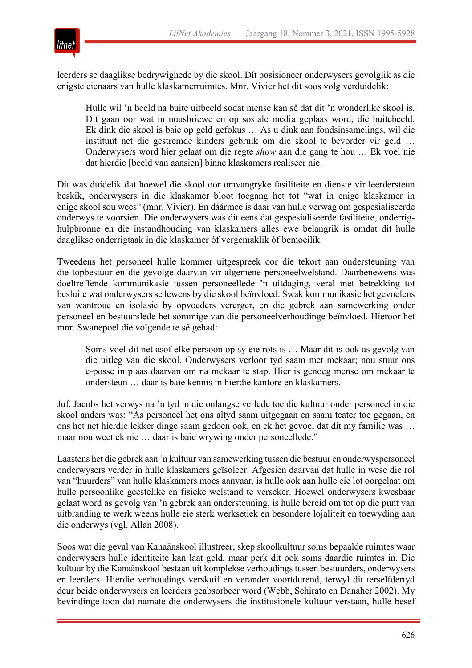

leerders se daaglikse bedrywighede by die skool. Dít posisioneer onderwysers gevolglik as die enigste eienaars van hulle klaskamerruimtes. Mnr. Vivier het dit soos volg verduidelik:

Hulle wil 'n beeld na buite uitbeeld sodat mense kan sê dat dit 'n wonderlike skool is. Dit gaan oor wat in nuusbriewe en op sosiale media geplaas word, die buitebeeld. Ek dink die skool is baie op geld gefokus … As u dink aan fondsinsamelings, wil die instituut net die gestremde kinders gebruik om die skool te bevorder vir geld … Onderwysers word hier gelaat om die regte *show* aan die gang te hou … Ek voel nie dat hierdie [beeld van aansien] binne klaskamers realiseer nie.

Dit was duidelik dat hoewel die skool oor omvangryke fasiliteite en dienste vir leerdersteun beskik, onderwysers in die klaskamer bloot toegang het tot "wat in enige klaskamer in enige skool sou wees" (mnr. Vivier). En dáármee is daar van hulle verwag om gespesialiseerde onderwys te voorsien. Die onderwysers was dit eens dat gespesialiseerde fasiliteite, onderrighulpbronne en die instandhouding van klaskamers alles ewe belangrik is omdat dit hulle daaglikse onderrigtaak in die klaskamer óf vergemaklik óf bemoeilik.

Tweedens het personeel hulle kommer uitgespreek oor die tekort aan ondersteuning van die topbestuur en die gevolge daarvan vir algemene personeelwelstand. Daarbenewens was doeltreffende kommunikasie tussen personeellede 'n uitdaging, veral met betrekking tot besluite wat onderwysers se lewens by die skool beïnvloed. Swak kommunikasie het gevoelens van wantroue en isolasie by opvoeders vererger, en die gebrek aan samewerking onder personeel en bestuurslede het sommige van die personeelverhoudinge beïnvloed. Hieroor het mnr. Swanepoel die volgende te sê gehad:

Soms voel dit net asof elke persoon op sy eie rots is … Maar dit is ook as gevolg van die uitleg van die skool. Onderwysers verloor tyd saam met mekaar; nou stuur ons e-posse in plaas daarvan om na mekaar te stap. Hier is genoeg mense om mekaar te ondersteun … daar is baie kennis in hierdie kantore en klaskamers.

Juf. Jacobs het verwys na 'n tyd in die onlangse verlede toe die kultuur onder personeel in die skool anders was: "As personeel het ons altyd saam uitgegaan en saam teater toe gegaan, en ons het net hierdie lekker dinge saam gedoen ook, en ek het gevoel dat dit my familie was … maar nou weet ek nie … daar is baie wrywing onder personeellede."

Laastens het die gebrek aan 'n kultuur van samewerking tussen die bestuur en onderwyspersoneel onderwysers verder in hulle klaskamers geïsoleer. Afgesien daarvan dat hulle in wese die rol van "huurders" van hulle klaskamers moes aanvaar, is hulle ook aan hulle eie lot oorgelaat om hulle persoonlike geestelike en fisieke welstand te verseker. Hoewel onderwysers kwesbaar gelaat word as gevolg van 'n gebrek aan ondersteuning, is hulle bereid om tot op die punt van uitbranding te werk weens hulle eie sterk werksetiek en besondere lojaliteit en toewyding aan die onderwys (vgl. Allan 2008).

Soos wat die geval van Kanaänskool illustreer, skep skoolkultuur soms bepaalde ruimtes waar onderwysers hulle identiteite kan laat geld, maar perk dit ook soms daardie ruimtes in. Die kultuur by die Kanaänskool bestaan uit komplekse verhoudings tussen bestuurders, onderwysers en leerders. Hierdie verhoudings verskuif en verander voortdurend, terwyl dit terselfdertyd deur beide onderwysers en leerders geabsorbeer word (Webb, Schirato en Danaher 2002). My bevindinge toon dat namate die onderwysers die institusionele kultuur verstaan, hulle besef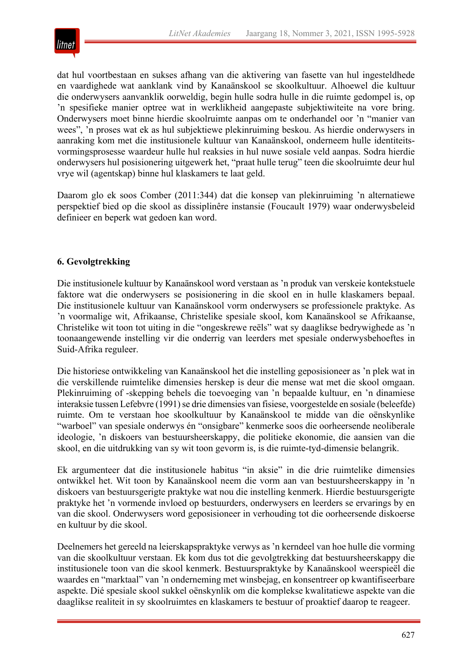

dat hul voortbestaan en sukses afhang van die aktivering van fasette van hul ingesteldhede en vaardighede wat aanklank vind by Kanaänskool se skoolkultuur. Alhoewel die kultuur die onderwysers aanvanklik oorweldig, begin hulle sodra hulle in die ruimte gedompel is, op 'n spesifieke manier optree wat in werklikheid aangepaste subjektiwiteite na vore bring. Onderwysers moet binne hierdie skoolruimte aanpas om te onderhandel oor 'n "manier van wees", 'n proses wat ek as hul subjektiewe plekinruiming beskou. As hierdie onderwysers in aanraking kom met die institusionele kultuur van Kanaänskool, onderneem hulle identiteitsvormingsprosesse waardeur hulle hul reaksies in hul nuwe sosiale veld aanpas. Sodra hierdie onderwysers hul posisionering uitgewerk het, "praat hulle terug" teen die skoolruimte deur hul vrye wil (agentskap) binne hul klaskamers te laat geld.

Daarom glo ek soos Comber (2011:344) dat die konsep van plekinruiming 'n alternatiewe perspektief bied op die skool as dissiplinêre instansie (Foucault 1979) waar onderwysbeleid definieer en beperk wat gedoen kan word.

# **6. Gevolgtrekking**

Die institusionele kultuur by Kanaänskool word verstaan as 'n produk van verskeie kontekstuele faktore wat die onderwysers se posisionering in die skool en in hulle klaskamers bepaal. Die institusionele kultuur van Kanaänskool vorm onderwysers se professionele praktyke. As 'n voormalige wit, Afrikaanse, Christelike spesiale skool, kom Kanaänskool se Afrikaanse, Christelike wit toon tot uiting in die "ongeskrewe reëls" wat sy daaglikse bedrywighede as 'n toonaangewende instelling vir die onderrig van leerders met spesiale onderwysbehoeftes in Suid-Afrika reguleer.

Die historiese ontwikkeling van Kanaänskool het die instelling geposisioneer as 'n plek wat in die verskillende ruimtelike dimensies herskep is deur die mense wat met die skool omgaan. Plekinruiming of -skepping behels die toevoeging van 'n bepaalde kultuur, en 'n dinamiese interaksie tussen Lefebvre (1991) se drie dimensies van fisiese, voorgestelde en sosiale (beleefde) ruimte. Om te verstaan hoe skoolkultuur by Kanaänskool te midde van die oënskynlike "warboel" van spesiale onderwys én "onsigbare" kenmerke soos die oorheersende neoliberale ideologie, 'n diskoers van bestuursheerskappy, die politieke ekonomie, die aansien van die skool, en die uitdrukking van sy wit toon gevorm is, is die ruimte-tyd-dimensie belangrik.

Ek argumenteer dat die institusionele habitus "in aksie" in die drie ruimtelike dimensies ontwikkel het. Wit toon by Kanaänskool neem die vorm aan van bestuursheerskappy in 'n diskoers van bestuursgerigte praktyke wat nou die instelling kenmerk. Hierdie bestuursgerigte praktyke het 'n vormende invloed op bestuurders, onderwysers en leerders se ervarings by en van die skool. Onderwysers word geposisioneer in verhouding tot die oorheersende diskoerse en kultuur by die skool.

Deelnemers het gereeld na leierskapspraktyke verwys as 'n kerndeel van hoe hulle die vorming van die skoolkultuur verstaan. Ek kom dus tot die gevolgtrekking dat bestuursheerskappy die institusionele toon van die skool kenmerk. Bestuurspraktyke by Kanaänskool weerspieël die waardes en "marktaal" van 'n onderneming met winsbejag, en konsentreer op kwantifiseerbare aspekte. Dié spesiale skool sukkel oënskynlik om die komplekse kwalitatiewe aspekte van die daaglikse realiteit in sy skoolruimtes en klaskamers te bestuur of proaktief daarop te reageer.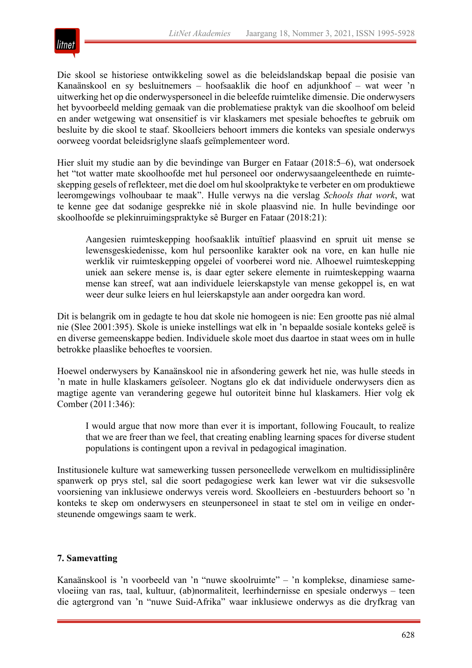

Die skool se historiese ontwikkeling sowel as die beleidslandskap bepaal die posisie van Kanaänskool en sy besluitnemers – hoofsaaklik die hoof en adjunkhoof – wat weer 'n uitwerking het op die onderwyspersoneel in die beleefde ruimtelike dimensie. Die onderwysers het byvoorbeeld melding gemaak van die problematiese praktyk van die skoolhoof om beleid en ander wetgewing wat onsensitief is vir klaskamers met spesiale behoeftes te gebruik om besluite by die skool te staaf. Skoolleiers behoort immers die konteks van spesiale onderwys oorweeg voordat beleidsriglyne slaafs geïmplementeer word.

Hier sluit my studie aan by die bevindinge van Burger en Fataar (2018:5–6), wat ondersoek het "tot watter mate skoolhoofde met hul personeel oor onderwysaangeleenthede en ruimteskepping gesels of reflekteer, met die doel om hul skoolpraktyke te verbeter en om produktiewe leeromgewings volhoubaar te maak". Hulle verwys na die verslag *Schools that work*, wat te kenne gee dat sodanige gesprekke nié in skole plaasvind nie. In hulle bevindinge oor skoolhoofde se plekinruimingspraktyke sê Burger en Fataar (2018:21):

Aangesien ruimteskepping hoofsaaklik intuïtief plaasvind en spruit uit mense se lewensgeskiedenisse, kom hul persoonlike karakter ook na vore, en kan hulle nie werklik vir ruimteskepping opgelei of voorberei word nie. Alhoewel ruimteskepping uniek aan sekere mense is, is daar egter sekere elemente in ruimteskepping waarna mense kan streef, wat aan individuele leierskapstyle van mense gekoppel is, en wat weer deur sulke leiers en hul leierskapstyle aan ander oorgedra kan word.

Dit is belangrik om in gedagte te hou dat skole nie homogeen is nie: Een grootte pas nié almal nie (Slee 2001:395). Skole is unieke instellings wat elk in 'n bepaalde sosiale konteks geleë is en diverse gemeenskappe bedien. Individuele skole moet dus daartoe in staat wees om in hulle betrokke plaaslike behoeftes te voorsien.

Hoewel onderwysers by Kanaänskool nie in afsondering gewerk het nie, was hulle steeds in 'n mate in hulle klaskamers geïsoleer. Nogtans glo ek dat individuele onderwysers dien as magtige agente van verandering gegewe hul outoriteit binne hul klaskamers. Hier volg ek Comber (2011:346):

I would argue that now more than ever it is important, following Foucault, to realize that we are freer than we feel, that creating enabling learning spaces for diverse student populations is contingent upon a revival in pedagogical imagination.

Institusionele kulture wat samewerking tussen personeellede verwelkom en multidissiplinêre spanwerk op prys stel, sal die soort pedagogiese werk kan lewer wat vir die suksesvolle voorsiening van inklusiewe onderwys vereis word. Skoolleiers en -bestuurders behoort so 'n konteks te skep om onderwysers en steunpersoneel in staat te stel om in veilige en ondersteunende omgewings saam te werk.

#### **7. Samevatting**

Kanaänskool is 'n voorbeeld van 'n "nuwe skoolruimte" – 'n komplekse, dinamiese samevloeiing van ras, taal, kultuur, (ab)normaliteit, leerhindernisse en spesiale onderwys – teen die agtergrond van 'n "nuwe Suid-Afrika" waar inklusiewe onderwys as die dryfkrag van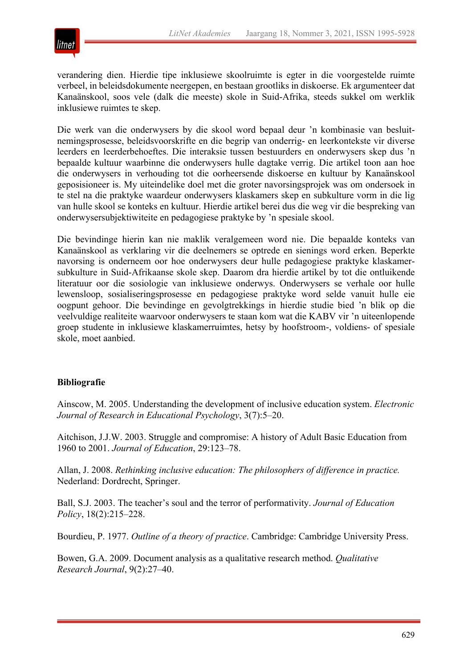

verandering dien. Hierdie tipe inklusiewe skoolruimte is egter in die voorgestelde ruimte verbeel, in beleidsdokumente neergepen, en bestaan grootliks in diskoerse. Ek argumenteer dat Kanaänskool, soos vele (dalk die meeste) skole in Suid-Afrika, steeds sukkel om werklik inklusiewe ruimtes te skep.

Die werk van die onderwysers by die skool word bepaal deur 'n kombinasie van besluitnemingsprosesse, beleidsvoorskrifte en die begrip van onderrig- en leerkontekste vir diverse leerders en leerderbehoeftes. Die interaksie tussen bestuurders en onderwysers skep dus 'n bepaalde kultuur waarbinne die onderwysers hulle dagtake verrig. Die artikel toon aan hoe die onderwysers in verhouding tot die oorheersende diskoerse en kultuur by Kanaänskool geposisioneer is. My uiteindelike doel met die groter navorsingsprojek was om ondersoek in te stel na die praktyke waardeur onderwysers klaskamers skep en subkulture vorm in die lig van hulle skool se konteks en kultuur. Hierdie artikel berei dus die weg vir die bespreking van onderwysersubjektiwiteite en pedagogiese praktyke by 'n spesiale skool.

Die bevindinge hierin kan nie maklik veralgemeen word nie. Die bepaalde konteks van Kanaänskool as verklaring vir die deelnemers se optrede en sienings word erken. Beperkte navorsing is onderneem oor hoe onderwysers deur hulle pedagogiese praktyke klaskamersubkulture in Suid-Afrikaanse skole skep. Daarom dra hierdie artikel by tot die ontluikende literatuur oor die sosiologie van inklusiewe onderwys. Onderwysers se verhale oor hulle lewensloop, sosialiseringsprosesse en pedagogiese praktyke word selde vanuit hulle eie oogpunt gehoor. Die bevindinge en gevolgtrekkings in hierdie studie bied 'n blik op die veelvuldige realiteite waarvoor onderwysers te staan kom wat die KABV vir 'n uiteenlopende groep studente in inklusiewe klaskamerruimtes, hetsy by hoofstroom-, voldiens- of spesiale skole, moet aanbied.

#### **Bibliografie**

Ainscow, M. 2005. Understanding the development of inclusive education system. *Electronic Journal of Research in Educational Psychology*, 3(7):5–20.

Aitchison, J.J.W. 2003. Struggle and compromise: A history of Adult Basic Education from 1960 to 2001. *Journal of Education*, 29:123–78.

Allan, J. 2008. *Rethinking inclusive education: The philosophers of difference in practice.* Nederland: Dordrecht, Springer.

Ball, S.J. 2003. The teacher's soul and the terror of performativity. *Journal of Education Policy*, 18(2):215–228.

Bourdieu, P. 1977. *Outline of a theory of practice*. Cambridge: Cambridge University Press.

Bowen, G.A. 2009. Document analysis as a qualitative research method. *Qualitative Research Journal*, 9(2):27–40.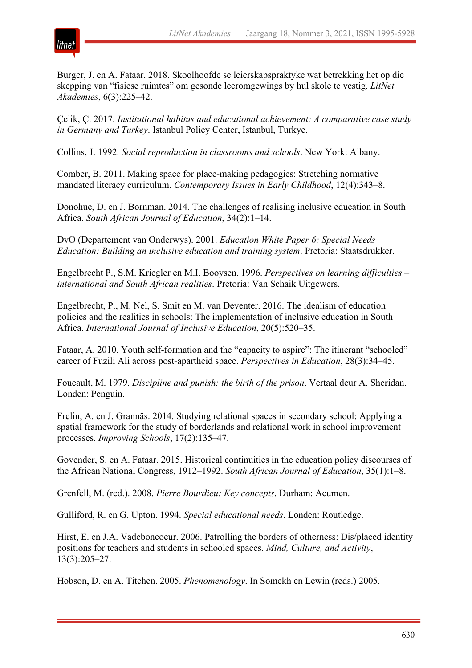

Burger, J. en A. Fataar. 2018. Skoolhoofde se leierskapspraktyke wat betrekking het op die skepping van "fisiese ruimtes" om gesonde leeromgewings by hul skole te vestig. *LitNet Akademies*, 6(3):225–42.

Çelik, Ç. 2017. *Institutional habitus and educational achievement: A comparative case study in Germany and Turkey*. Istanbul Policy Center, Istanbul, Turkye.

Collins, J. 1992. *Social reproduction in classrooms and schools*. New York: Albany.

Comber, B. 2011. Making space for place-making pedagogies: Stretching normative mandated literacy curriculum. *Contemporary Issues in Early Childhood*, 12(4):343–8.

Donohue, D. en J. Bornman. 2014. The challenges of realising inclusive education in South Africa. *South African Journal of Education*, 34(2):1–14.

DvO (Departement van Onderwys). 2001. *Education White Paper 6: Special Needs Education: Building an inclusive education and training system*. Pretoria: Staatsdrukker.

Engelbrecht P., S.M. Kriegler en M.I. Booysen. 1996. *Perspectives on learning difficulties – international and South African realities*. Pretoria: Van Schaik Uitgewers.

Engelbrecht, P., M. Nel, S. Smit en M. van Deventer. 2016. The idealism of education policies and the realities in schools: The implementation of inclusive education in South Africa. *International Journal of Inclusive Education*, 20(5):520–35.

Fataar, A. 2010. Youth self-formation and the "capacity to aspire": The itinerant "schooled" career of Fuzili Ali across post-apartheid space. *Perspectives in Education*, 28(3):34–45.

Foucault, M. 1979. *Discipline and punish: the birth of the prison*. Vertaal deur A. Sheridan. Londen: Penguin.

Frelin, A. en J. Grannäs. 2014. Studying relational spaces in secondary school: Applying a spatial framework for the study of borderlands and relational work in school improvement processes. *Improving Schools*, 17(2):135–47.

Govender, S. en A. Fataar. 2015. Historical continuities in the education policy discourses of the African National Congress, 1912–1992. *South African Journal of Education*, 35(1):1–8.

Grenfell, M. (red.). 2008. *Pierre Bourdieu: Key concepts*. Durham: Acumen.

Gulliford, R. en G. Upton. 1994. *Special educational needs*. Londen: Routledge.

Hirst, E. en J.A. Vadeboncoeur. 2006. Patrolling the borders of otherness: Dis/placed identity positions for teachers and students in schooled spaces. *Mind, Culture, and Activity*, 13(3):205–27.

Hobson, D. en A. Titchen. 2005. *Phenomenology*. In Somekh en Lewin (reds.) 2005.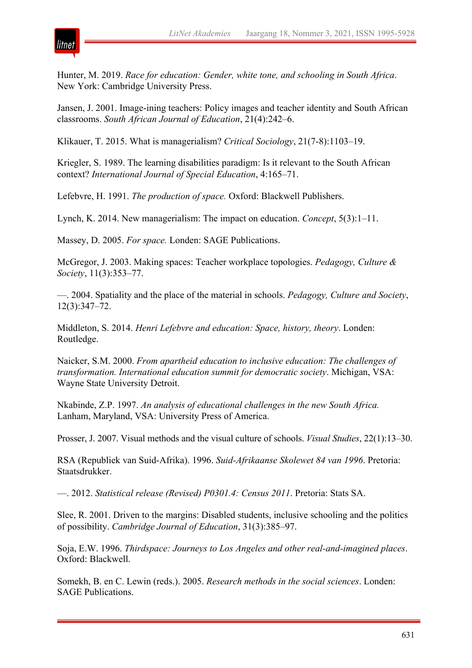

Hunter, M. 2019. *Race for education: Gender, white tone, and schooling in South Africa*. New York: Cambridge University Press.

Jansen, J. 2001. Image-ining teachers: Policy images and teacher identity and South African classrooms. *South African Journal of Education*, 21(4):242–6.

Klikauer, T. 2015. What is managerialism? *Critical Sociology*, 21(7-8):1103–19.

Kriegler, S. 1989. The learning disabilities paradigm: Is it relevant to the South African context? *International Journal of Special Education*, 4:165–71.

Lefebvre, H. 1991. *The production of space.* Oxford: Blackwell Publishers.

Lynch, K. 2014. New managerialism: The impact on education. *Concept*, 5(3):1–11.

Massey, D. 2005. *For space.* Londen: SAGE Publications.

McGregor, J. 2003. Making spaces: Teacher workplace topologies. *Pedagogy, Culture & Society*, 11(3):353–77.

—. 2004. Spatiality and the place of the material in schools. *Pedagogy, Culture and Society*, 12(3):347–72.

Middleton, S. 2014. *Henri Lefebvre and education: Space, history, theory*. Londen: Routledge.

Naicker, S.M. 2000. *From apartheid education to inclusive education: The challenges of transformation. International education summit for democratic society*. Michigan, VSA: Wayne State University Detroit.

Nkabinde, Z.P. 1997. *An analysis of educational challenges in the new South Africa.* Lanham, Maryland, VSA: University Press of America.

Prosser, J. 2007. Visual methods and the visual culture of schools. *Visual Studies*, 22(1):13–30.

RSA (Republiek van Suid-Afrika). 1996. *Suid-Afrikaanse Skolewet 84 van 1996*. Pretoria: Staatsdrukker.

—. 2012. *Statistical release (Revised) P0301.4: Census 2011*. Pretoria: Stats SA.

Slee, R. 2001. Driven to the margins: Disabled students, inclusive schooling and the politics of possibility. *Cambridge Journal of Education*, 31(3):385–97.

Soja, E.W. 1996. *Thirdspace: Journeys to Los Angeles and other real-and-imagined places*. Oxford: Blackwell.

Somekh, B. en C. Lewin (reds.). 2005. *Research methods in the social sciences*. Londen: SAGE Publications.